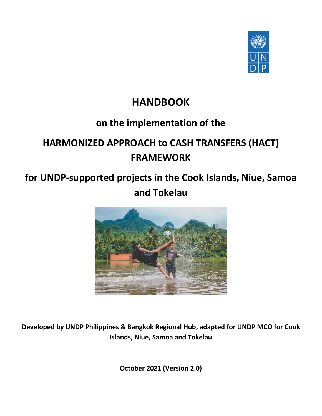

## **HANDBOOK**

## **on the implementation of the**

# **HARMONIZED APPROACH to CASH TRANSFERS (HACT) FRAMEWORK**

## **for UNDP-supported projects in the Cook Islands, Niue, Samoa and Tokelau**



**Developed by UNDP Philippines & Bangkok Regional Hub, adapted for UNDP MCO for Cook Islands, Niue, Samoa and Tokelau**

**October 2021 (Version 2.0)**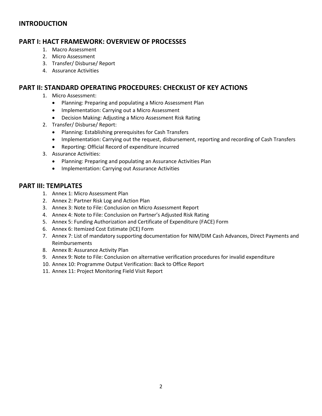## **INTRODUCTION**

## **PART I: HACT FRAMEWORK: OVERVIEW OF PROCESSES**

- 1. Macro Assessment
- 2. Micro Assessment
- 3. Transfer/ Disburse/ Report
- 4. Assurance Activities

## **PART II: STANDARD OPERATING PROCEDURES: CHECKLIST OF KEY ACTIONS**

- 1. Micro Assessment:
	- Planning: Preparing and populating a Micro Assessment Plan
	- Implementation: Carrying out a Micro Assessment
	- Decision Making: Adjusting a Micro Assessment Risk Rating
- 2. Transfer/ Disburse/ Report:
	- Planning: Establishing prerequisites for Cash Transfers
	- Implementation: Carrying out the request, disbursement, reporting and recording of Cash Transfers
	- Reporting: Official Record of expenditure incurred
- 3. Assurance Activities:
	- Planning: Preparing and populating an Assurance Activities Plan
	- Implementation: Carrying out Assurance Activities

## **PART III: TEMPLATES**

- 1. Annex 1: Micro Assessment Plan
- 2. Annex 2: Partner Risk Log and Action Plan
- 3. Annex 3: Note to File: Conclusion on Micro Assessment Report
- 4. Annex 4: Note to File: Conclusion on Partner's Adjusted Risk Rating
- 5. Annex 5: Funding Authorization and Certificate of Expenditure (FACE) Form
- 6. Annex 6: Itemized Cost Estimate (ICE) Form
- 7. Annex 7: List of mandatory supporting documentation for NIM/DIM Cash Advances, Direct Payments and Reimbursements
- 8. Annex 8: Assurance Activity Plan
- 9. Annex 9: Note to File: Conclusion on alternative verification procedures for invalid expenditure
- 10. Annex 10: Programme Output Verification: Back to Office Report
- 11. Annex 11: Project Monitoring Field Visit Report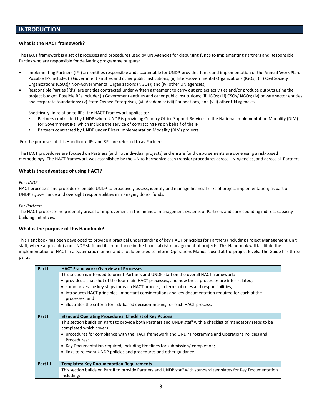#### **What is the HACT framework?**

The HACT framework is a set of processes and procedures used by UN Agencies for disbursing funds to Implementing Partners and Responsible Parties who are responsible for delivering programme outputs:

- Implementing Partners (IPs) are entities responsible and accountable for UNDP-provided funds and implementation of the Annual Work Plan. Possible IPs include: (i) Government entities and other public institutions; (ii) Inter-Governmental Organizations (IGOs); (iii) Civil Society Organizations (CSOs)/ Non-Governmental Organizations (NGOs); and (iv) other UN agencies;
- Responsible Parties (RPs) are entities contracted under written agreement to carry out project activities and/or produce outputs using the project budget. Possible RPs include: (i) Government entities and other public institutions; (ii) IGOs; (iii) CSOs/ NGOs; (iv) private sector entities and corporate foundations; (v) State-Owned Enterprises, (vi) Academia; (vii) Foundations; and (viii) other UN agencies.

Specifically, in relation to RPs, the HACT Framework applies to:

- Partners contracted by UNDP where UNDP is providing Country Office Support Services to the National Implementation Modality (NIM) for Government IPs, which include the service of contracting RPs on behalf of the IP;
- Partners contracted by UNDP under Direct Implementation Modality (DIM) projects.

For the purposes of this Handbook, IPs and RPs are referred to as Partners.

The HACT procedures are focused on Partners (and not individual projects) and ensure fund disbursements are done using a risk-based methodology. The HACT framework was established by the UN to harmonize cash transfer procedures across UN Agencies, and across all Partners.

#### **What is the advantage of using HACT?**

#### *For UNDP*

HACT processes and procedures enable UNDP to proactively assess, identify and manage financial risks of project implementation; as part of UNDP's governance and oversight responsibilities in managing donor funds.

#### *For Partners*

The HACT processes help identify areas for improvement in the financial management systems of Partners and corresponding indirect capacity building initiatives.

#### **What is the purpose of this Handbook?**

This Handbook has been developed to provide a practical understanding of key HACT principles for Partners (including Project Management Unit staff, where applicable) and UNDP staff and its importance in the financial risk management of projects. This Handbook will facilitate the implementation of HACT in a systematic manner and should be used to inform Operations Manuals used at the project levels. The Guide has three parts:

| Part I   | <b>HACT Framework: Overview of Processes</b>                                                                            |
|----------|-------------------------------------------------------------------------------------------------------------------------|
|          | This section is intended to orient Partners and UNDP staff on the overall HACT framework:                               |
|          | • provides a snapshot of the four main HACT processes, and how these processes are inter-related;                       |
|          | • summarizes the key steps for each HACT process, in terms of roles and responsibilities;                               |
|          | • introduces HACT principles, important considerations and key documentation required for each of the<br>processes; and |
|          | • illustrates the criteria for risk-based decision-making for each HACT process.                                        |
| Part II  | <b>Standard Operating Procedures: Checklist of Key Actions</b>                                                          |
|          | This section builds on Part I to provide both Partners and UNDP staff with a checklist of mandatory steps to be         |
|          | completed which covers:                                                                                                 |
|          | • procedures for compliance with the HACT framework and UNDP Programme and Operations Policies and                      |
|          | Procedures;                                                                                                             |
|          | • Key Documentation required, including timelines for submission/completion;                                            |
|          | • links to relevant UNDP policies and procedures and other guidance.                                                    |
|          |                                                                                                                         |
| Part III | <b>Templates: Key Documentation Requirements</b>                                                                        |
|          | This section builds on Part II to provide Partners and UNDP staff with standard templates for Key Documentation         |
|          | including:                                                                                                              |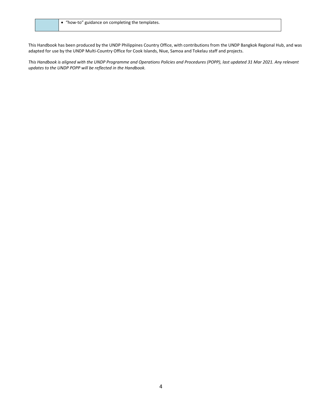This Handbook has been produced by the UNDP Philippines Country Office, with contributions from the UNDP Bangkok Regional Hub, and was adapted for use by the UNDP Multi-Country Office for Cook Islands, Niue, Samoa and Tokelau staff and projects.

*This Handbook is aligned with the UNDP Programme and Operations Policies and Procedures (POPP), last updated 31 Mar 2021. Any relevant updates to the UNDP POPP will be reflected in the Handbook.*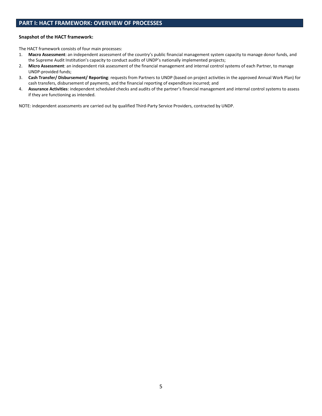### **PART I: HACT FRAMEWORK: OVERVIEW OF PROCESSES**

#### **Snapshot of the HACT framework:**

The HACT framework consists of four main processes:

- 1. **Macro Assessment**: an independent assessment of the country's public financial management system capacity to manage donor funds, and the Supreme Audit Institution's capacity to conduct audits of UNDP's nationally implemented projects;
- 2. **Micro Assessment**: an independent risk assessment of the financial management and internal control systems of each Partner, to manage UNDP-provided funds;
- 3. **Cash Transfer/ Disbursement/ Reporting**: requests from Partners to UNDP (based on project activities in the approved Annual Work Plan) for cash transfers, disbursement of payments, and the financial reporting of expenditure incurred; and
- 4. **Assurance Activities**: independent scheduled checks and audits of the partner's financial management and internal control systems to assess if they are functioning as intended.

NOTE: independent assessments are carried out by qualified Third-Party Service Providers, contracted by UNDP.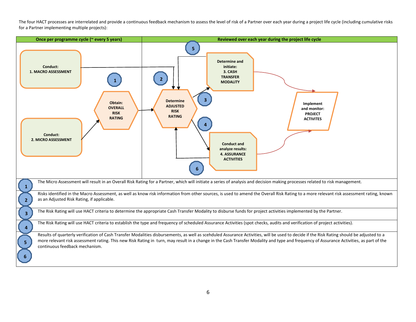The four HACT processes are interrelated and provide a continuous feedback mechanism to assess the level of risk of a Partner over each year during a project life cycle (including cumulative risks for a Partner implementing multiple projects):

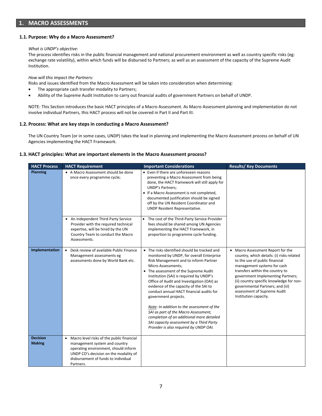#### **1.1. Purpose: Why do a Macro Assessment?**

#### *What is UNDP's objective:*

The process identifies risks in the public financial management and national procurement environment as well as country specific risks (eg: exchange rate volatility), within which funds will be disbursed to Partners; as well as an assessment of the capacity of the Supreme Audit Institution.

*How will this impact the Partners:*

Risks and issues identified from the Macro Assessment will be taken into consideration when determining:

- The appropriate cash transfer modality to Partners;
- Ability of the Supreme Audit Institution to carry out financial audits of government Partners on behalf of UNDP.

NOTE: This Section introduces the basic HACT principles of a Macro Assessment. As Macro Assessment planning and implementation do not involve individual Partners, this HACT process will not be covered in Part II and Part III.

#### **1.2. Process: What are key steps in conducting a Macro Assessment?**

The UN Country Team (or in some cases, UNDP) takes the lead in planning and implementing the Macro Assessment process on behalf of UN Agencies implementing the HACT Framework.

#### **1.3. HACT principles: What are important elements in the Macro Assessment process?**

| <b>HACT Process</b>              | <b>HACT Requirement</b>                                                                                                                                                                                           | <b>Important Considerations</b>                                                                                                                                                                                                                                                                                                                                                                                                                                                                                                                                                                                                   | <b>Results/ Key Documents</b>                                                                                                                                                                                                                                                                                                                                   |
|----------------------------------|-------------------------------------------------------------------------------------------------------------------------------------------------------------------------------------------------------------------|-----------------------------------------------------------------------------------------------------------------------------------------------------------------------------------------------------------------------------------------------------------------------------------------------------------------------------------------------------------------------------------------------------------------------------------------------------------------------------------------------------------------------------------------------------------------------------------------------------------------------------------|-----------------------------------------------------------------------------------------------------------------------------------------------------------------------------------------------------------------------------------------------------------------------------------------------------------------------------------------------------------------|
| <b>Planning</b>                  | • A Macro Assessment should be done<br>once every programme cycle;                                                                                                                                                | • Even if there are unforeseen reasons<br>preventing a Macro Assessment from being<br>done, the HACT framework will still apply for<br><b>UNDP's Partners;</b><br>• If a Macro Assessment is not completed,<br>documented justification should be signed<br>off by the UN Resident Coordinator and<br>UNDP Resident Representative.                                                                                                                                                                                                                                                                                               |                                                                                                                                                                                                                                                                                                                                                                 |
|                                  | • An independent Third-Party Service<br>Provider with the required technical<br>expertise, will be hired by the UN<br>Country Team to conduct the Macro<br>Assessments.                                           | • The cost of the Third-Party Service Provider<br>fees should be shared among UN Agencies<br>implementing the HACT Framework, in<br>proportion to programme cycle funding.                                                                                                                                                                                                                                                                                                                                                                                                                                                        |                                                                                                                                                                                                                                                                                                                                                                 |
| Implementation                   | Desk review of available Public Finance<br>$\bullet$<br>Management assessments eg<br>assessments done by World Bank etc.                                                                                          | • The risks identified should be tracked and<br>monitored by UNDP, for overall Enterprise<br>Risk Management and to inform Partner<br>Micro Assessments;<br>• The assessment of the Supreme Audit<br>Institution (SAI) is required by UNDP's<br>Office of Audit and Investigation (OAI) as<br>evidence of the capacity of the SAI to<br>conduct annual HACT financial audits for<br>government projects.<br>Note: In addition to the assessment of the<br>SAI as part of the Macro Assessment,<br>completion of an additional more detailed<br>SAI capacity assessment by a Third Party<br>Provider is also required by UNDP OAI. | • Macro Assessment Report for the<br>country, which details: (i) risks related<br>to the use of public financial<br>management systems for cash<br>transfers within the country to<br>government Implementing Partners;<br>(ii) country specific knowledge for non-<br>governmental Partners; and (iii)<br>assessment of Supreme Audit<br>Institution capacity. |
| <b>Decision</b><br><b>Making</b> | • Macro level risks of the public financial<br>management system and country<br>operating environment, should inform<br>UNDP CO's decision on the modality of<br>disbursement of funds to individual<br>Partners. |                                                                                                                                                                                                                                                                                                                                                                                                                                                                                                                                                                                                                                   |                                                                                                                                                                                                                                                                                                                                                                 |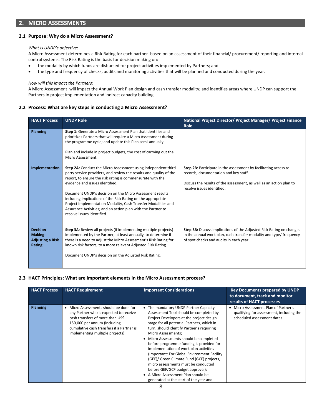### **2. MICRO ASSESSMENTS**

#### **2.1 Purpose: Why do a Micro Assessment?**

#### *What is UNDP's objective*:

A Micro Assessment determines a Risk Rating for each partner based on an assessment of their financial/ procurement/ reporting and internal control systems. The Risk Rating is the basis for decision making on:

- the modality by which funds are disbursed for project activities implemented by Partners; and
- the type and frequency of checks, audits and monitoring activities that will be planned and conducted during the year.

#### *How will this impact the Partners:*

A Micro Assessment will impact the Annual Work Plan design and cash transfer modality; and identifies areas where UNDP can support the Partners in project implementation and indirect capacity building.

#### **2.2 Process: What are key steps in conducting a Micro Assessment?**

| <b>HACT Process</b>                                                    | <b>UNDP Role</b>                                                                                                                                                                                                                                                                                                                                                                                                                                                                                                                 | National Project Director/ Project Manager/ Project Finance<br>Role                                                                                                                                            |
|------------------------------------------------------------------------|----------------------------------------------------------------------------------------------------------------------------------------------------------------------------------------------------------------------------------------------------------------------------------------------------------------------------------------------------------------------------------------------------------------------------------------------------------------------------------------------------------------------------------|----------------------------------------------------------------------------------------------------------------------------------------------------------------------------------------------------------------|
| <b>Planning</b>                                                        | Step 1: Generate a Micro Assessment Plan that identifies and<br>prioritizes Partners that will require a Micro Assessment during<br>the programme cycle; and update this Plan semi-annually.<br>Plan and include in project budgets, the cost of carrying out the<br>Micro Assessment.                                                                                                                                                                                                                                           |                                                                                                                                                                                                                |
| Implementation                                                         | Step 2A: Conduct the Micro Assessment using independent third-<br>party service providers, and review the results and quality of the<br>report, to ensure the risk rating is commensurate with the<br>evidence and issues identified.<br>Document UNDP's decision on the Micro Assessment results<br>including implications of the Risk Rating on the appropriate<br>Project Implementation Modality, Cash Transfer Modalities and<br>Assurance Activities; and an action plan with the Partner to<br>resolve issues identified. | Step 2B: Participate in the assessment by facilitating access to<br>records, documentation and key staff.<br>Discuss the results of the assessment, as well as an action plan to<br>resolve issues identified. |
| <b>Decision</b><br><b>Making:</b><br><b>Adjusting a Risk</b><br>Rating | Step 3A: Review all projects (if implementing multiple projects)<br>implemented by the Partner, at least annually, to determine if<br>there is a need to adjust the Micro Assessment's Risk Rating for<br>known risk factors, to a more relevant Adjusted Risk Rating.<br>Document UNDP's decision on the Adjusted Risk Rating.                                                                                                                                                                                                  | Step 3B: Discuss implications of the Adjusted Risk Rating on changes<br>in the annual work plan, cash transfer modality and type/ frequency<br>of spot checks and audits in each year.                         |

#### **2.3 HACT Principles: What are important elements in the Micro Assessment process?**

| <b>HACT Process</b> | <b>HACT Requirement</b>                                                                                                                                                                                                                          | <b>Important Considerations</b>                                                                                                                                                                                                                                                                                                                                                                                                                                                                                                                                                                                                       | <b>Key Documents prepared by UNDP</b><br>to document, track and monitor<br>results of HACT processes            |
|---------------------|--------------------------------------------------------------------------------------------------------------------------------------------------------------------------------------------------------------------------------------------------|---------------------------------------------------------------------------------------------------------------------------------------------------------------------------------------------------------------------------------------------------------------------------------------------------------------------------------------------------------------------------------------------------------------------------------------------------------------------------------------------------------------------------------------------------------------------------------------------------------------------------------------|-----------------------------------------------------------------------------------------------------------------|
| Planning            | Micro Assessments should be done for<br>$\bullet$<br>any Partner who is expected to receive<br>cash transfers of more than US\$<br>150,000 per annum (including<br>cumulative cash transfers if a Partner is<br>implementing multiple projects). | The mandatory UNDP Partner Capacity<br>٠<br>Assessment Tool should be completed by<br>Project Developers at the project design<br>stage for all potential Partners, which in<br>turn, should identify Partner's requiring<br>Micro Assessments;<br>Micro Assessments should be completed<br>before programme funding is provided for<br>implementation of work plan activities<br>(Important: For Global Environment Facility)<br>(GEF)/ Green Climate Fund (GCF) projects,<br>micro assessments must be conducted<br>before GEF/GCF budget approval);<br>A Micro Assessment Plan should be<br>generated at the start of the year and | • Micro Assessment Plan of Partner's<br>qualifying for assessment, including the<br>scheduled assessment dates. |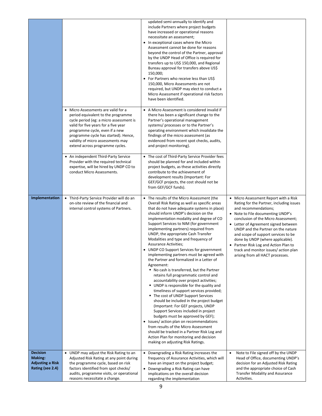|                                                                                  |                                                                                                                                                                                                                                                                                                                | updated semi-annually to identify and<br>include Partners where project budgets<br>have increased or operational reasons<br>necessitate an assessment;<br>• In exceptional cases where the Micro<br>Assessment cannot be done for reasons<br>beyond the control of the Partner, approval<br>by the UNDP Head of Office is required for<br>transfers up to US\$ 150,000, and Regional<br>Bureau approval for transfers above US\$<br>150,000;<br>• For Partners who receive less than US\$<br>150,000, Micro Assessments are not<br>required, but UNDP may elect to conduct a<br>Micro Assessment if operational risk factors<br>have been identified.                                                                                                                                                                                                                                                                                                                                                                                                                                                                                                                                                                                  |                                                                                                                                                                                                                                                                                                                                                                                                                                                                      |
|----------------------------------------------------------------------------------|----------------------------------------------------------------------------------------------------------------------------------------------------------------------------------------------------------------------------------------------------------------------------------------------------------------|----------------------------------------------------------------------------------------------------------------------------------------------------------------------------------------------------------------------------------------------------------------------------------------------------------------------------------------------------------------------------------------------------------------------------------------------------------------------------------------------------------------------------------------------------------------------------------------------------------------------------------------------------------------------------------------------------------------------------------------------------------------------------------------------------------------------------------------------------------------------------------------------------------------------------------------------------------------------------------------------------------------------------------------------------------------------------------------------------------------------------------------------------------------------------------------------------------------------------------------|----------------------------------------------------------------------------------------------------------------------------------------------------------------------------------------------------------------------------------------------------------------------------------------------------------------------------------------------------------------------------------------------------------------------------------------------------------------------|
|                                                                                  | • Micro Assessments are valid for a<br>period equivalent to the programme<br>cycle period (eg: a micro assessment is<br>valid for five years for a five year<br>programme cycle, even if a new<br>programme cycle has started). Hence,<br>validity of micro assessments may<br>extend across programme cycles. | • A Micro Assessment is considered invalid if<br>there has been a significant change to the<br>Partner's operational management<br>systems/processes or to the Partner's<br>operating environment which invalidate the<br>findings of the micro assessment (as<br>evidenced from recent spot checks, audits,<br>and project monitoring).                                                                                                                                                                                                                                                                                                                                                                                                                                                                                                                                                                                                                                                                                                                                                                                                                                                                                               |                                                                                                                                                                                                                                                                                                                                                                                                                                                                      |
|                                                                                  | • An independent Third-Party Service<br>Provider with the required technical<br>expertise, will be hired by UNDP CO to<br>conduct Micro Assessments.                                                                                                                                                           | • The cost of Third-Party Service Provider fees<br>should be planned for and included within<br>project budgets, as these activities directly<br>contribute to the achievement of<br>development results (Important: For<br>GEF/GCF projects, the cost should not be<br>from GEF/GCF funds).                                                                                                                                                                                                                                                                                                                                                                                                                                                                                                                                                                                                                                                                                                                                                                                                                                                                                                                                           |                                                                                                                                                                                                                                                                                                                                                                                                                                                                      |
| Implementation                                                                   | • Third-Party Service Provider will do an<br>on-site review of the financial and<br>internal control systems of Partners.                                                                                                                                                                                      | • The results of the Micro Assessment (the<br>Overall Risk Rating as well as specific areas<br>that do not have adequate systems in place)<br>should inform UNDP's decision on the<br>implementation modality and degree of CO<br>Support Services to NIM (for government<br>implementing partners) required from<br>UNDP, the appropriate Cash Transfer<br>Modalities and type and frequency of<br><b>Assurance Activities;</b><br>• UNDP CO Support Services for government<br>implementing partners must be agreed with<br>the Partner and formalized in a Letter of<br>Agreement:<br>" No cash is transferred, but the Partner<br>retains full programmatic control and<br>accountability over project activities;<br>UNDP is responsible for the quality and<br>timeliness of support services provided;<br>■ The cost of UNDP Support Services<br>should be included in the project budget<br>(Important: For GEF projects, UNDP<br>Support Services included in project<br>budgets must be approved by GEF);<br>• Issues/ action plan on recommendations<br>from results of the Micro Assessment<br>should be tracked in a Partner Risk Log and<br>Action Plan for monitoring and decision<br>making on adjusting Risk Ratings. | • Micro Assessment Report with a Risk<br>Rating for the Partner, including issues<br>and recommendations;<br>• Note to File documenting UNDP's<br>conclusion of the Micro Assessment;<br>• Letter of Agreement signed between<br>UNDP and the Partner on the nature<br>and scope of support services to be<br>done by UNDP (where applicable).<br>• Partner Risk Log and Action Plan to<br>track and monitor issues/ action plan<br>arising from all HACT processes. |
| <b>Decision</b><br><b>Making:</b><br><b>Adjusting a Risk</b><br>Rating (see 2.4) | • UNDP may adjust the Risk Rating to an<br>Adjusted Risk Rating at any point during<br>the programme cycle, based on risk<br>factors identified from spot checks/<br>audits, programme visits, or operational<br>reasons necessitate a change.                                                                 | • Downgrading a Risk Rating increases the<br>frequency of Assurance Activities, which will<br>have an impact on the project budget;<br>• Downgrading a Risk Rating can have<br>implications on the overall decision<br>regarding the implementation                                                                                                                                                                                                                                                                                                                                                                                                                                                                                                                                                                                                                                                                                                                                                                                                                                                                                                                                                                                    | Note to File signed off by the UNDP<br>$\bullet$<br>Head of Office, documenting UNDP's<br>decision for an Adjusted Risk Rating<br>and the appropriate choice of Cash<br><b>Transfer Modality and Assurance</b><br>Activities.                                                                                                                                                                                                                                        |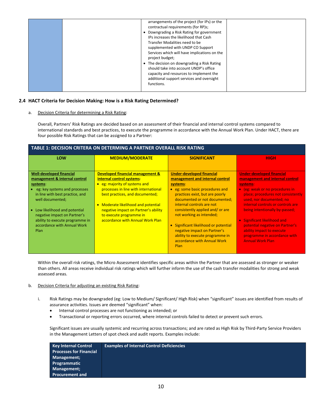|  |  | arrangements of the project (for IPs) or the<br>contractual requirements (for RP)s;<br>• Downgrading a Risk Rating for government<br>IPs increases the likelihood that Cash<br>Transfer Modalities need to be<br>supplemented with UNDP CO Support<br>Services which will have implications on the<br>project budget;<br>• The decision on downgrading a Risk Rating<br>should take into account UNDP's office<br>capacity and resources to implement the<br>additional support services and oversight<br>functions. |  |
|--|--|----------------------------------------------------------------------------------------------------------------------------------------------------------------------------------------------------------------------------------------------------------------------------------------------------------------------------------------------------------------------------------------------------------------------------------------------------------------------------------------------------------------------|--|
|--|--|----------------------------------------------------------------------------------------------------------------------------------------------------------------------------------------------------------------------------------------------------------------------------------------------------------------------------------------------------------------------------------------------------------------------------------------------------------------------------------------------------------------------|--|

#### **2.4 HACT Criteria for Decision Making: How is a Risk Rating Determined?**

a. Decision Criteria for determining a Risk Rating:

Overall, Partners' Risk Ratings are decided based on an assessment of their financial and internal control systems compared to international standards and best practices, to execute the programme in accordance with the Annual Work Plan. Under HACT, there are four possible Risk Ratings that can be assigned to a Partner:

| <b>TABLE 1: DECISION CRITERA ON DETERMING A PARTNER OVERALL RISK RATING</b>                                                                                                                                                                                                                                    |                                                                                                                                                                                                                                                                                                                       |                                                                                                                                                                                                                                                                                                                                                                                                                                                  |                                                                                                                                                                                                                                                                                                                                                                                                                                          |  |
|----------------------------------------------------------------------------------------------------------------------------------------------------------------------------------------------------------------------------------------------------------------------------------------------------------------|-----------------------------------------------------------------------------------------------------------------------------------------------------------------------------------------------------------------------------------------------------------------------------------------------------------------------|--------------------------------------------------------------------------------------------------------------------------------------------------------------------------------------------------------------------------------------------------------------------------------------------------------------------------------------------------------------------------------------------------------------------------------------------------|------------------------------------------------------------------------------------------------------------------------------------------------------------------------------------------------------------------------------------------------------------------------------------------------------------------------------------------------------------------------------------------------------------------------------------------|--|
| LOW                                                                                                                                                                                                                                                                                                            | <b>MEDIUM/MODERATE</b>                                                                                                                                                                                                                                                                                                | <b>SIGNIFICANT</b>                                                                                                                                                                                                                                                                                                                                                                                                                               | <b>HIGH</b>                                                                                                                                                                                                                                                                                                                                                                                                                              |  |
| <b>Well-developed financial</b><br>management & internal control<br>systems:<br>eg: key systems and processes<br>in line with best practice, and<br>well documented;<br>Low likelihood and potential<br>negative impact on Partner's<br>ability to execute programme in<br>accordance with Annual Work<br>Plan | Developed financial management &<br>internal control systems:<br>• eg: majority of systems and<br>processes in line with international<br>best practices, and documented;<br>Moderate likelihood and potential<br>negative impact on Partner's ability<br>to execute programme in<br>accordance with Annual Work Plan | <b>Under-developed financial</b><br>management and internal control<br>systems:<br>• eg: some basic procedures and<br>practices exist, but are poorly<br>documented or not documented;<br>internal controls are not<br>consistently applied and/or are<br>not working as intended;<br>Significant likelihood or potential<br>$\bullet$<br>negative impact on Partner's<br>ability to execute programme in<br>accordance with Annual Work<br>Plan | <b>Under-developed financial</b><br>management and internal control<br>systems:<br>• (eg: weak or no procedures in<br>place; procedures not consistently<br>used, nor documented; no<br>internal controls or controls are<br>being intentionally by-passed;<br><b>Significant likelihood and</b><br>$\bullet$<br>potential negative on Partner's<br>ability impact to execute<br>programme in accordance with<br><b>Annual Work Plan</b> |  |

Within the overall risk ratings, the Micro Assessment identifies specific areas within the Partner that are assessed as stronger or weaker than others. All areas receive individual risk ratings which will further inform the use of the cash transfer modalities for strong and weak assessed areas.

#### b. Decision Criteria for adjusting an existing Risk Rating:

- i. Risk Ratings may be downgraded (eg: Low to Medium/ Significant/ High Risk) when "significant" issues are identified from results of assurance activities. Issues are deemed "significant" when:
	- Internal control processes are not functioning as intended; or
	- Transactional or reporting errors occurred, where internal controls failed to detect or prevent such errors.

Significant issues are usually systemic and recurring across transactions; and are rated as High Risk by Third-Party Service Providers in the Management Letters of spot check and audit reports. Examples include:

| <b>Key Internal Control</b>    | <b>Examples of Internal Control Deficiencies</b> |
|--------------------------------|--------------------------------------------------|
| <b>Processes for Financial</b> |                                                  |
| Management;                    |                                                  |
| Programmatic                   |                                                  |
| Management;                    |                                                  |
| <b>Procurement and</b>         |                                                  |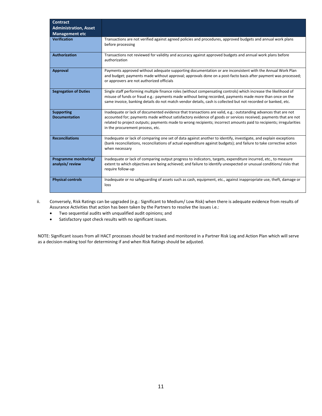| <b>Contract</b><br><b>Administration, Asset</b><br><b>Management etc</b> |                                                                                                                                                                                                                                                                                                                                                                                              |
|--------------------------------------------------------------------------|----------------------------------------------------------------------------------------------------------------------------------------------------------------------------------------------------------------------------------------------------------------------------------------------------------------------------------------------------------------------------------------------|
| <b>Verification</b>                                                      | Transactions are not verified against agreed policies and procedures, approved budgets and annual work plans<br>before processing                                                                                                                                                                                                                                                            |
| <b>Authorization</b>                                                     | Transactions not reviewed for validity and accuracy against approved budgets and annual work plans before<br>authorization                                                                                                                                                                                                                                                                   |
| Approval                                                                 | Payments approved without adequate supporting documentation or are inconsistent with the Annual Work Plan<br>and budget; payments made without approval; approvals done on a post-facto basis after payment was processed;<br>or approvers are not authorized officials                                                                                                                      |
| <b>Segregation of Duties</b>                                             | Single staff performing multiple finance roles (without compensating controls) which increase the likelihood of<br>misuse of funds or fraud e.g.: payments made without being recorded, payments made more than once on the<br>same invoice, banking details do not match vendor details, cash is collected but not recorded or banked, etc.                                                 |
| <b>Supporting</b><br><b>Documentation</b>                                | Inadequate or lack of documented evidence that transactions are valid, e.g.: outstanding advances that are not<br>accounted for; payments made without satisfactory evidence of goods or services received; payments that are not<br>related to project outputs; payments made to wrong recipients; incorrect amounts paid to recipients; irregularities<br>in the procurement process, etc. |
| <b>Reconciliations</b>                                                   | Inadequate or lack of comparing one set of data against another to identify, investigate, and explain exceptions<br>(bank reconciliations, reconciliations of actual expenditure against budgets); and failure to take corrective action<br>when necessary                                                                                                                                   |
| Programme monitoring/<br>analysis/review                                 | Inadequate or lack of comparing output progress to indicators, targets, expenditure incurred, etc., to measure<br>extent to which objectives are being achieved; and failure to identify unexpected or unusual conditions/risks that<br>require follow-up                                                                                                                                    |
| <b>Physical controls</b>                                                 | Inadequate or no safeguarding of assets such as cash, equipment, etc., against inappropriate use, theft, damage or<br>loss                                                                                                                                                                                                                                                                   |

- ii. Conversely, Risk Ratings can be upgraded (e.g.: Significant to Medium/ Low Risk) when there is adequate evidence from results of Assurance Activities that action has been taken by the Partners to resolve the issues i.e.:
	- Two sequential audits with unqualified audit opinions; and
	- Satisfactory spot check results with no significant issues.

NOTE: Significant issues from all HACT processes should be tracked and monitored in a Partner Risk Log and Action Plan which will serve as a decision-making tool for determining if and when Risk Ratings should be adjusted.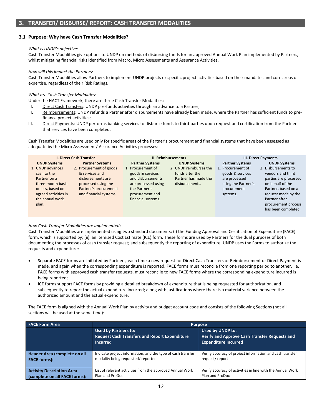#### **3.1 Purpose: Why have Cash Transfer Modalities?**

#### *What is UNDP's objective:*

Cash Transfer Modalities give options to UNDP on methods of disbursing funds for an approved Annual Work Plan implemented by Partners, whilst mitigating financial risks identified from Macro, Micro Assessments and Assurance Activities.

#### *How will this impact the Partners*:

Cash Transfer Modalities allow Partners to implement UNDP projects or specific project activities based on their mandates and core areas of expertise, regardless of their Risk Ratings.

#### *What are Cash Transfer Modalities*:

Under the HACT Framework, there are three Cash Transfer Modalities:

- I. Direct Cash Transfers: UNDP pre-funds activities through an advance to a Partner;
- II. Reimbursements: UNDP refunds a Partner after disbursements have already been made, where the Partner has sufficient funds to prefinance project activities;
- III. Direct Payments: UNDP performs banking services to disburse funds to third-parties upon request and certification from the Partner that services have been completed.

Cash Transfer Modalities are used only for specific areas of the Partner's procurement and financial systems that have been assessed as adequate by the Micro Assessment/ Assurance Activities processes:

| <b>I. Direct Cash Transfer</b>                                                                                                                                       |                                                                                                                                                                    | <b>II. Reimbursements</b>                                                                                                                                             |                                                                                                            | III. Direct Payments                                                                                                               |                                                                                                                                                                                                                           |
|----------------------------------------------------------------------------------------------------------------------------------------------------------------------|--------------------------------------------------------------------------------------------------------------------------------------------------------------------|-----------------------------------------------------------------------------------------------------------------------------------------------------------------------|------------------------------------------------------------------------------------------------------------|------------------------------------------------------------------------------------------------------------------------------------|---------------------------------------------------------------------------------------------------------------------------------------------------------------------------------------------------------------------------|
| <b>UNDP Systems</b><br>1. UNDP advances<br>cash to the<br>Partner on a<br>three-month basis<br>or less, based on<br>agreed activities in<br>the annual work<br>plan. | <b>Partner Systems</b><br>2. Procurement of goods<br>& services and<br>disbursements are<br>processed using the<br>Partner's procurement<br>and financial systems. | <b>Partner Systems</b><br>1. Procurement of<br>goods & services<br>and disbursements<br>are processed using<br>the Partner's<br>procurement and<br>financial systems. | <b>UNDP Systems</b><br>2. UNDP reimburses the<br>funds after the<br>Partner has made the<br>disbursements. | <b>Partner Systems</b><br>1. Procurement of<br>goods & services<br>are processed<br>using the Partner's<br>procurement<br>systems. | <b>UNDP Systems</b><br>2. Disbursements to<br>vendors and third<br>parties are processed<br>on behalf of the<br>Partner, based on a<br>request made by the<br>Partner after<br>procurement process<br>has been completed. |

#### *How Cash Transfer Modalities are implemented*:

Cash Transfer Modalities are implemented using two standard documents: (i) the Funding Approval and Certification of Expenditure (FACE) form, which is supported by; (ii) an Itemised Cost Estimate (ICE) form. These forms are used by Partners for the dual purposes of both documenting the processes of cash transfer request; and subsequently the reporting of expenditure. UNDP uses the Forms to authorize the requests and expenditure:

- Separate FACE forms are initiated by Partners, each time a new request for Direct Cash Transfers or Reimbursement or Direct Payment is made, and again when the corresponding expenditure is reported. FACE forms must reconcile from one reporting period to another, i.e. FACE forms with approved cash transfer requests, must reconcile to new FACE forms where the corresponding expenditure incurred is being reported;
- ICE forms support FACE forms by providing a detailed breakdown of expenditure that is being requested for authorization, and subsequently to report the actual expenditure incurred; along with justifications where there is a material variance between the authorized amount and the actual expenditure.

The FACE form is aligned with the Annual Work Plan by activity and budget account code and consists of the following Sections (not all sections will be used at the same time):

| <b>FACE Form Area</b>            | <b>Purpose</b>                                                                                         |                                                                                                         |  |
|----------------------------------|--------------------------------------------------------------------------------------------------------|---------------------------------------------------------------------------------------------------------|--|
|                                  | <b>Used by Partners to:</b><br><b>Request Cash Transfers and Report Expenditure</b><br><b>Incurred</b> | Used by UNDP to:<br><b>Verify and Approve Cash Transfer Requests and</b><br><b>Expenditure Incurred</b> |  |
| Header Area (complete on all     | Indicate project information, and the type of cash transfer                                            | Verify accuracy of project information and cash transfer                                                |  |
| <b>FACE forms):</b>              | modality being requested/reported                                                                      | request/report                                                                                          |  |
| <b>Activity Description Area</b> | List of relevant activities from the approved Annual Work                                              | Verify accuracy of activities in line with the Annual Work                                              |  |
| (complete on all FACE forms):    | Plan and ProDoc                                                                                        | Plan and ProDoc                                                                                         |  |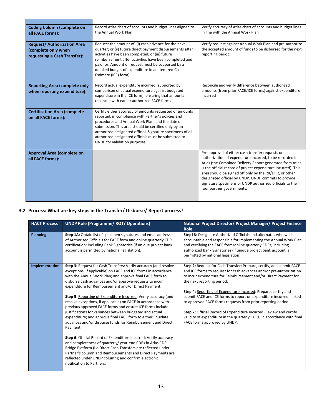| <b>Coding Column (complete on</b><br>all FACE forms):                                    | Record Atlas chart of accounts and budget lines aligned to<br>the Annual Work Plan                                                                                                                                                                                                                                                                                                | Verify accuracy of Atlas chart of accounts and budget lines<br>in line with the Annual Work Plan                                                                                                                                                                                                                                                                                                                                                    |
|------------------------------------------------------------------------------------------|-----------------------------------------------------------------------------------------------------------------------------------------------------------------------------------------------------------------------------------------------------------------------------------------------------------------------------------------------------------------------------------|-----------------------------------------------------------------------------------------------------------------------------------------------------------------------------------------------------------------------------------------------------------------------------------------------------------------------------------------------------------------------------------------------------------------------------------------------------|
| <b>Request/Authorization Area</b><br>(complete only when<br>requesting a Cash Transfer): | Request the amount of: (i) cash advance for the next<br>quarter; or (ii) future direct payment disbursements after<br>activities have been completed; or (iii) future<br>reimbursement after activities have been completed and<br>paid for. Amount of request must be supported by a<br>detailed budget of expenditure in an Itemized Cost<br>Estimate (ICE) form)               | Verify request against Annual Work Plan and pre-authorize<br>the accepted amount of funds to be disbursed for the next<br>reporting period                                                                                                                                                                                                                                                                                                          |
| <b>Reporting Area (complete only</b><br>when reporting expenditure):                     | Record actual expenditure incurred (supported by<br>comparison of actual expenditure against budgeted<br>expenditure in the ICE form); ensuring that amounts<br>reconcile with earlier authorized FACE forms                                                                                                                                                                      | Reconcile and verify difference between authorized<br>amounts (from prior FACE/ICE forms) against expenditure<br>incurred                                                                                                                                                                                                                                                                                                                           |
| <b>Certification Area (complete</b><br>on all FACE forms):                               | Certify either accuracy of amounts requested or amounts<br>reported, in compliance with Partner's policies and<br>procedures and Annual Work Plan; and the date of<br>submission. This area should be certified only by an<br>authorized designated official. Signature specimens of all<br>authorized designated officials must be submitted to<br>UNDP for validation purposes. |                                                                                                                                                                                                                                                                                                                                                                                                                                                     |
| Approval Area (complete on<br>all FACE forms):                                           |                                                                                                                                                                                                                                                                                                                                                                                   | Pre-approval of either cash transfer requests or<br>authorization of expenditure incurred, to be recorded in<br>Atlas (the Combined Delivery Report generated from Atlas<br>is the official record of project expenditure incurred). This<br>area should be signed off only by the RR/DRR, or other<br>designated official by UNDP. UNDP commits to provide<br>signature specimens of UNDP authorized officials to the<br>four partner governments. |

## **3.2 Process: What are key steps in the Transfer/ Disburse/ Report process?**

| <b>HACT Process</b> | <b>UNDP Role (Programme/ RQT/ Operations)</b>                                                                                                                                                                                                                                                                                                                                                                                                                                                                                                                                                                                                                                                                                                                                                                                                                                                                                                                                                                                                                                    | National Project Director/ Project Manager/ Project Finance<br>Role                                                                                                                                                                                                                                                                                                                                                                                                                                                                                                                                                                       |
|---------------------|----------------------------------------------------------------------------------------------------------------------------------------------------------------------------------------------------------------------------------------------------------------------------------------------------------------------------------------------------------------------------------------------------------------------------------------------------------------------------------------------------------------------------------------------------------------------------------------------------------------------------------------------------------------------------------------------------------------------------------------------------------------------------------------------------------------------------------------------------------------------------------------------------------------------------------------------------------------------------------------------------------------------------------------------------------------------------------|-------------------------------------------------------------------------------------------------------------------------------------------------------------------------------------------------------------------------------------------------------------------------------------------------------------------------------------------------------------------------------------------------------------------------------------------------------------------------------------------------------------------------------------------------------------------------------------------------------------------------------------------|
| <b>Planning</b>     | Step 1A: Obtain list of specimen signatures and email addresses<br>of Authorized Officials for FACE form and online quarterly CDR<br>certification; including Bank Signatories (if unique project bank<br>account is permitted by national legislation).                                                                                                                                                                                                                                                                                                                                                                                                                                                                                                                                                                                                                                                                                                                                                                                                                         | Step1B: Designate Authorized Officials and alternates who will be<br>accountable and responsible for implementing the Annual Work Plan<br>and certifying the FACE form/online quarterly CDRs; including<br>authorized Bank Signatories (if unique project bank account is<br>permitted by national legislation).                                                                                                                                                                                                                                                                                                                          |
| Implementation      | Step 3: Request for Cash Transfers: Verify accuracy (and resolve<br>exceptions, if applicable) on FACE and ICE forms in accordance<br>with the Annual Work Plan; and approve final FACE form to<br>disburse cash advances and/or approve requests to incur<br>expenditure for Reimbursement and/or Direct Payment.<br>Step 5: Reporting of Expenditure Incurred: Verify accuracy (and<br>resolve exceptions, if applicable) on FACE in accordance with<br>previous approved FACE forms and ensure ICE forms include<br>justifications for variances between budgeted and actual<br>expenditure; and approve final FACE form to either liquidate<br>advances and/or disburse funds for Reimbursement and Direct<br>Payment.<br>Step 6: Official Record of Expenditure Incurred: Verify accuracy<br>and completeness of quarterly/year-end CDRs in Atlas CDR<br>Bridge Platform (i.e Direct Cash Transfers are reflected under<br>Partner's column and Reimbursements and Direct Payments are<br>reflected under UNDP column); and confirm electronic<br>notification to Partners. | Step 2: Request for Cash Transfer: Prepare, certify, and submit FACE<br>and ICE forms to request for cash advances and/or pre-authorization<br>to incur expenditure for Reimbursement and/or Direct Payment for<br>the next reporting period.<br>Step 4: Reporting of Expenditure Incurred: Prepare, certify and<br>submit FACE and ICE forms to report on expenditure incurred, linked<br>to approved FACE forms requests from prior reporting period.<br>Step 7: Official Record of Expenditure Incurred: Review and certify<br>validity of expenditure in the quarterly CDRs, in accordance with final<br>FACE forms approved by UNDP. |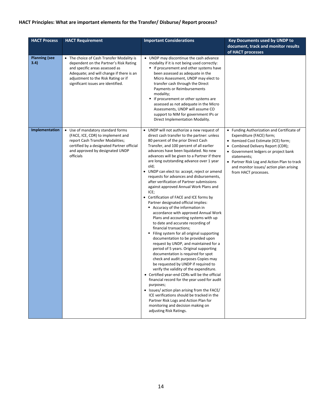## **HACT Principles: What are important elements for the Transfer/ Disburse/ Report process?**

| <b>HACT Process</b>          | <b>HACT Requirement</b>                                                                                                                                                                                                                        | <b>Important Considerations</b>                                                                                                                                                                                                                                                                                                                                                                                                                                                                                                                                                                                                                                                                                                                                                                                                                                                                                                                                                                                                                                                                                                                                                                                                                                                                                                                                                                                                                           | <b>Key Documents used by UNDP to</b><br>document, track and monitor results<br>of HACT processes                                                                                                                                                                                                                          |
|------------------------------|------------------------------------------------------------------------------------------------------------------------------------------------------------------------------------------------------------------------------------------------|-----------------------------------------------------------------------------------------------------------------------------------------------------------------------------------------------------------------------------------------------------------------------------------------------------------------------------------------------------------------------------------------------------------------------------------------------------------------------------------------------------------------------------------------------------------------------------------------------------------------------------------------------------------------------------------------------------------------------------------------------------------------------------------------------------------------------------------------------------------------------------------------------------------------------------------------------------------------------------------------------------------------------------------------------------------------------------------------------------------------------------------------------------------------------------------------------------------------------------------------------------------------------------------------------------------------------------------------------------------------------------------------------------------------------------------------------------------|---------------------------------------------------------------------------------------------------------------------------------------------------------------------------------------------------------------------------------------------------------------------------------------------------------------------------|
| <b>Planning (see</b><br>3.4) | • The choice of Cash Transfer Modality is<br>dependent on the Partner's Risk Rating<br>and specific areas assessed as<br>Adequate; and will change if there is an<br>adjustment to the Risk Rating or if<br>significant issues are identified. | • UNDP may discontinue the cash advance<br>modality if it is not being used correctly:<br>If procurement and other systems have<br>been assessed as adequate in the<br>Micro Assessment, UNDP may elect to<br>transfer cash through the Direct<br><b>Payments or Reimbursements</b><br>modality;<br>If procurement or other systems are<br>٠<br>assessed as not adequate in the Micro<br>Assessments, UNDP will assume CO<br>support to NIM for government IPs or<br>Direct Implementation Modality.                                                                                                                                                                                                                                                                                                                                                                                                                                                                                                                                                                                                                                                                                                                                                                                                                                                                                                                                                      |                                                                                                                                                                                                                                                                                                                           |
| Implementation               | • Use of mandatory standard forms<br>(FACE, ICE, CDR) to implement and<br>report Cash Transfer Modalities;<br>certified by a designated Partner official<br>and approved by designated UNDP<br>officials                                       | • UNDP will not authorize a new request of<br>direct cash transfer to the partner: unless<br>80 percent of the prior Direct Cash<br>Transfer, and 100 percent of all earlier<br>advances have been liquidated. No new<br>advances will be given to a Partner if there<br>are long outstanding advance over 1 year<br>old;<br>• UNDP can elect to: accept, reject or amend<br>requests for advances and disbursements,<br>after verification of Partner submissions<br>against approved Annual Work Plans and<br>ICE;<br>• Certification of FACE and ICE forms by<br>Partner designated official implies:<br>Accuracy of the information in<br>accordance with approved Annual Work<br>Plans and accounting systems with up<br>to date and accurate recording of<br>financial transactions;<br>Filing system for all original supporting<br>٠<br>documentation to be provided upon<br>request by UNDP, and maintained for a<br>period of 5 years. Original supporting<br>documentation is required for spot<br>check and audit purposes Copies may<br>be requested by UNDP if required to<br>verify the validity of the expenditure.<br>• Certified year-end CDRs will be the official<br>financial record for the year used for audit<br>purposes;<br>• Issues/ action plan arising from the FACE/<br>ICE verifications should be tracked in the<br>Partner Risk Logs and Action Plan for<br>monitoring and decision making on<br>adjusting Risk Ratings. | • Funding Authorization and Certificate of<br>Expenditure (FACE) form;<br>• Itemized Cost Estimate (ICE) form;<br>Combined Delivery Report (CDR);<br>• Government ledgers or project bank<br>statements:<br>• Partner Risk Log and Action Plan to track<br>and monitor issues/action plan arising<br>from HACT processes. |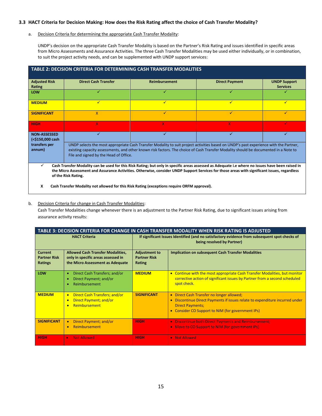#### **3.3 HACT Criteria for Decision Making: How does the Risk Rating affect the choice of Cash Transfer Modality?**

#### a. Decision Criteria for determining the appropriate Cash Transfer Modality:

UNDP's decision on the appropriate Cash Transfer Modality is based on the Partner's Risk Rating and issues identified in specific areas from Micro Assessments and Assurance Activities. The three Cash Transfer Modalities may be used either individually, or in combination, to suit the project activity needs, and can be supplemented with UNDP support services:

| <b>TABLE 2: DECISION CRITERIA FOR DETERMINING CASH TRANSFER MODALITIES</b>                                                                                                                                                                                                                                                                        |                             |                      |                       |                     |  |
|---------------------------------------------------------------------------------------------------------------------------------------------------------------------------------------------------------------------------------------------------------------------------------------------------------------------------------------------------|-----------------------------|----------------------|-----------------------|---------------------|--|
| <b>Adjusted Risk</b>                                                                                                                                                                                                                                                                                                                              | <b>Direct Cash Transfer</b> | <b>Reimbursement</b> | <b>Direct Payment</b> | <b>UNDP Support</b> |  |
| Rating                                                                                                                                                                                                                                                                                                                                            |                             |                      |                       | <b>Services</b>     |  |
| LOW                                                                                                                                                                                                                                                                                                                                               |                             |                      | ✓                     |                     |  |
| <b>MEDIUM</b>                                                                                                                                                                                                                                                                                                                                     | ✓                           | ✔                    | ✓                     |                     |  |
| <b>SIGNIFICANT</b>                                                                                                                                                                                                                                                                                                                                | X                           | ✓                    | ✓                     | ✓                   |  |
| <b>HIGH</b>                                                                                                                                                                                                                                                                                                                                       | X.                          | X.                   | W                     |                     |  |
| <b>NON-ASSESSED</b><br>(<\$150,000 cash                                                                                                                                                                                                                                                                                                           | ✓                           | ✓                    | ✓                     |                     |  |
| transfers per<br>UNDP selects the most appropriate Cash Transfer Modality to suit project activities based on UNDP's past experience with the Partner,<br>existing capacity assessments, and other known risk factors. The choice of Cash Transfer Modality should be documented in a Note to<br>annum)<br>File and signed by the Head of Office. |                             |                      |                       |                     |  |
| ✓<br>Cash Transfer Modality can be used for this Risk Rating; but only in specific areas assessed as Adequate i.e where no issues have been raised in<br>the Micro Assessment and Assurance Activities. Otherwise, consider UNDP Support Services for those areas with significant issues, regardless<br>of the Risk Rating.                      |                             |                      |                       |                     |  |

**X Cash Transfer Modality not allowed for this Risk Rating (exceptions require ORFM approval).**

#### b. Decision Criteria for change in Cash Transfer Modalities:

Cash Transfer Modalities change whenever there is an adjustment to the Partner Risk Rating, due to significant issues arising from assurance activity results:

| TABLE 3: DECISION CRITERIA FOR CHANGE IN CASH TRANSFER MODALITY WHEN RISK RATING IS ADJUSTED |                                                                                                                    |                                                       |                                                                                                                                                                                                                                 |
|----------------------------------------------------------------------------------------------|--------------------------------------------------------------------------------------------------------------------|-------------------------------------------------------|---------------------------------------------------------------------------------------------------------------------------------------------------------------------------------------------------------------------------------|
| <b>HACT Criteria</b>                                                                         |                                                                                                                    |                                                       | If significant Issues Identified (and no satisfactory evidence from subsequent spot checks of<br>being resolved by Partner)                                                                                                     |
| <b>Current</b><br><b>Partner Risk</b><br><b>Ratings</b>                                      | <b>Allowed Cash Transfer Modalities,</b><br>only in specific areas assessed in<br>the Micro Assessment as Adequate | <b>Adjustment to</b><br><b>Partner Risk</b><br>Rating | <b>Implication on subsequent Cash Transfer Modalities</b>                                                                                                                                                                       |
| LOW                                                                                          | Direct Cash Transfers; and/or<br>۰<br>Direct Payment; and/or<br>Reimbursement                                      | <b>MEDIUM</b>                                         | • Continue with the most appropriate Cash Transfer Modalities, but monitor<br>corrective action of significant issues by Partner from a second scheduled<br>spot check.                                                         |
| <b>MEDIUM</b>                                                                                | Direct Cash Transfers; and/or<br>$\bullet$<br>Direct Payment; and/or<br>$\bullet$<br>Reimbursement<br>$\bullet$    | <b>SIGNIFICANT</b>                                    | • Direct Cash Transfer no longer allowed;<br>Discontinue Direct Payments if issues relate to expenditure incurred under<br>$\bullet$<br><b>Direct Payments;</b><br>Consider CO Support to NIM (for government IPs)<br>$\bullet$ |
| <b>SIGNIFICANT</b>                                                                           | Direct Payment; and/or<br>$\bullet$<br>Reimbursement<br>$\bullet$                                                  | <b>HIGH</b>                                           | • Discontinue both Direct Payments and Reimbursement;<br>• Move to CO Support to NIM (for government IPs)                                                                                                                       |
| <b>HIGH</b>                                                                                  | <b>Not Allowed</b><br>$\bullet$                                                                                    | <b>HIGH</b>                                           | • Not Allowed                                                                                                                                                                                                                   |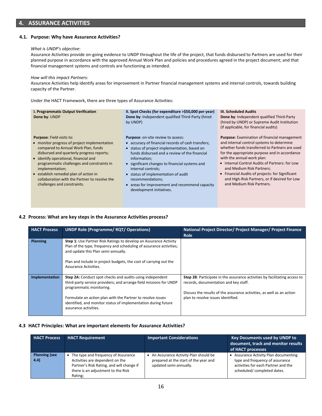### **4. ASSURANCE ACTIVITIES**

#### **4.1. Purpose: Why have Assurance Activities?**

#### *What is UNDP's objective*:

Assurance Activities provide on-going evidence to UNDP throughout the life of the project, that funds disbursed to Partners are used for their planned purpose in accordance with the approved Annual Work Plan and policies and procedures agreed in the project document; and that financial management systems and controls are functioning as intended.

#### *How will this impact Partners:*

Assurance Activities help identify areas for improvement in Partner financial management systems and internal controls, towards building capacity of the Partner.

Under the HACT Framework, there are three types of Assurance Activities:

| I. Programmatic Output Verification<br>Done by: UNDP                                                                                                                                                                                                                                                                                                                                                     | II. Spot Checks (for expenditure >\$50,000 per year)<br>Done by: Independent qualified Third-Party (hired<br>by UNDP)                                                                                                                                                                                                                                                                                                             | <b>III. Scheduled Audits</b><br>Done by: Independent qualified Third-Party<br>(hired by UNDP) or Supreme Audit Institution<br>(if applicable, for financial audits)                                                                                                                                                                                                                                                                               |
|----------------------------------------------------------------------------------------------------------------------------------------------------------------------------------------------------------------------------------------------------------------------------------------------------------------------------------------------------------------------------------------------------------|-----------------------------------------------------------------------------------------------------------------------------------------------------------------------------------------------------------------------------------------------------------------------------------------------------------------------------------------------------------------------------------------------------------------------------------|---------------------------------------------------------------------------------------------------------------------------------------------------------------------------------------------------------------------------------------------------------------------------------------------------------------------------------------------------------------------------------------------------------------------------------------------------|
| <b>Purpose: Field visits to:</b><br>• monitor progress of project implementation<br>compared to Annual Work Plan, funds<br>disbursed and quarterly progress reports;<br>• identify operational, financial and<br>programmatic challenges and constraints in<br>implementation;<br>• establish remedial plan of action in<br>collaboration with the Partner to resolve the<br>challenges and constraints. | <b>Purpose:</b> on-site review to assess:<br>• accuracy of financial records of cash transfers;<br>• status of project implementation, based on<br>funds disbursed and a review of the financial<br>information:<br>• significant changes to financial systems and<br>internal controls;<br>• status of implementation of audit<br>recommendations;<br>• areas for improvement and recommend capacity<br>development initiatives. | <b>Purpose:</b> Examination of financial management<br>and internal control systems to determine<br>whether funds transferred to Partners are used<br>for the appropriate purpose and in accordance<br>with the annual work plan:<br>• Internal Control Audits of Partners: for Low<br>and Medium Risk Partners;<br>• Financial Audits of projects: for Significant<br>and High-Risk Partners, or if desired for Low<br>and Medium Risk Partners. |

#### **4.2 Process: What are key steps in the Assurance Activities process?**

| <b>HACT Process</b> | <b>UNDP Role (Programme/ RQT/ Operations)</b>                                                                                                                                                                                                                                                                         | National Project Director/ Project Manager/ Project Finance<br>Role                                                                                                                                                                |
|---------------------|-----------------------------------------------------------------------------------------------------------------------------------------------------------------------------------------------------------------------------------------------------------------------------------------------------------------------|------------------------------------------------------------------------------------------------------------------------------------------------------------------------------------------------------------------------------------|
| Planning            | Step 1: Use Partner Risk Ratings to develop an Assurance Activity<br>Plan of the type, frequency and scheduling of assurance activities;<br>and update this Plan semi-annually.<br>Plan and include in project budgets, the cost of carrying out the<br>Assurance Activities.                                         |                                                                                                                                                                                                                                    |
| Implementation      | Step 2A: Conduct spot checks and audits using independent<br>third-party service providers; and arrange field missions for UNDP<br>programmatic monitoring.<br>Formulate an action plan with the Partner to resolve issues<br>identified, and monitor status of implementation during future<br>assurance activities. | Step 2B: Participate in the assurance activities by facilitating access to<br>records, documentation and key staff.<br>Discuss the results of the assurance activities, as well as an action<br>plan to resolve issues identified. |

#### **4.3 HACT Principles: What are important elements for Assurance Activities?**

| <b>HACT Process</b>           | <b>HACT Requirement</b>                                                                                                                                              | <b>Important Considerations</b>                                                                         | Key Documents used by UNDP to<br>document, track and monitor results<br>of HACT processes                                                   |
|-------------------------------|----------------------------------------------------------------------------------------------------------------------------------------------------------------------|---------------------------------------------------------------------------------------------------------|---------------------------------------------------------------------------------------------------------------------------------------------|
| <b>Planning (see</b><br>(4.4) | The type and frequency of Assurance<br>Activities are dependent on the<br>Partner's Risk Rating, and will change if<br>there is an adjustment to the Risk<br>Rating; | An Assurance Activity Plan should be<br>prepared at the start of the year and<br>updated semi-annually. | Assurance Activity Plan documenting<br>type and frequency of assurance<br>activities for each Partner and the<br>scheduled/completed dates. |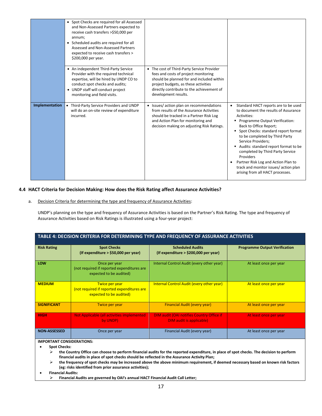|                | • Spot Checks are required for all Assessed<br>and Non-Assessed Partners expected to<br>receive cash transfers >\$50,000 per<br>annum;<br>• Scheduled audits are required for all<br>Assessed and Non-Assessed Partners<br>expected to receive cash transfers ><br>\$200,000 per year. |                                                                                                                                                                                                                                              |                                                                                                                                                                                                                                                                                                                                                                                                                                                                                      |
|----------------|----------------------------------------------------------------------------------------------------------------------------------------------------------------------------------------------------------------------------------------------------------------------------------------|----------------------------------------------------------------------------------------------------------------------------------------------------------------------------------------------------------------------------------------------|--------------------------------------------------------------------------------------------------------------------------------------------------------------------------------------------------------------------------------------------------------------------------------------------------------------------------------------------------------------------------------------------------------------------------------------------------------------------------------------|
|                | • An independent Third-Party Service<br>Provider with the required technical<br>expertise, will be hired by UNDP CO to<br>conduct spot checks and audits;<br>• UNDP staff will conduct project<br>monitoring and field visits.                                                         | • The cost of Third-Party Service Provider<br>fees and costs of project monitoring<br>should be planned for and included within<br>project budgets, as these activities<br>directly contribute to the achievement of<br>development results. |                                                                                                                                                                                                                                                                                                                                                                                                                                                                                      |
| Implementation | Third-Party Service Providers and UNDP<br>٠<br>will do an on-site review of expenditure<br>incurred.                                                                                                                                                                                   | • Issues/action plan on recommendations<br>from results of the Assurance Activities<br>should be tracked in a Partner Risk Log<br>and Action Plan for monitoring and<br>decision making on adjusting Risk Ratings.                           | Standard HACT reports are to be used<br>$\bullet$<br>to document the results of Assurance<br>Activities:<br>■ Programme Output Verification:<br>Back to Office Report;<br>• Spot Checks: standard report format<br>to be completed by Third Party<br>Service Providers;<br>Audits: standard report format to be<br>completed by Third Party Service<br>Providers<br>Partner Risk Log and Action Plan to<br>track and monitor issues/ action plan<br>arising from all HACT processes. |

#### **4.4 HACT Criteria for Decision Making: How does the Risk Rating affect Assurance Activities?**

a. Decision Criteria for determining the type and frequency of Assurance Activities:

UNDP's planning on the type and frequency of Assurance Activities is based on the Partner's Risk Rating. The type and frequency of Assurance Activities based on Risk Ratings is illustrated using a four-year project:

| TABLE 4: DECISION CRITERIA FOR DETERMINING TYPE AND FREQUENCY OF ASSURANCE ACTIVITIES |                                                                                         |                                                                                     |                                      |  |  |
|---------------------------------------------------------------------------------------|-----------------------------------------------------------------------------------------|-------------------------------------------------------------------------------------|--------------------------------------|--|--|
| <b>Risk Rating</b>                                                                    | <b>Spot Checks</b><br>(If expenditure > \$50,000 per year)                              | <b>Scheduled Audits</b><br>(If expenditure $>$ \$200,000 per year)                  | <b>Programme Output Verification</b> |  |  |
| LOW                                                                                   | Once per year<br>(not required if reported expenditures are<br>expected to be audited)  | Internal Control Audit (every other year)                                           | At least once per year               |  |  |
| <b>MEDIUM</b>                                                                         | Twice per year<br>(not required if reported expenditures are<br>expected to be audited) | <b>Internal Control Audit (every other year)</b>                                    | At least once per year               |  |  |
| <b>SIGNIFICANT</b>                                                                    | Twice per year                                                                          | <b>Financial Audit (every year)</b>                                                 | At least once per year               |  |  |
| <b>HIGH</b>                                                                           | Not Applicable (all activities implemented<br>by UNDP)                                  | <b>DIM audit (OAI notifies Country Office if</b><br><b>DIM audit is applicable)</b> | At least once per year               |  |  |
| <b>NON-ASSESSED</b>                                                                   | Once per year                                                                           | Financial Audit (every year)                                                        | At least once per year               |  |  |

#### **IMPORTANT CONSIDERATIONS:**

- **Spot Checks:** 
	- ➢ **the Country Office can choose to perform financial audits for the reported expenditure, in place of spot checks. The decision to perform financial audits in place of spot checks should be reflected in the Assurance Activity Plan;**
	- ➢ **the frequency of spot checks may be increased above the above minimum requirement, if deemed necessary based on known risk factors (eg: risks identified from prior assurance activities);**

• **Financial Audits:** 

➢ **Financial Audits are governed by OAI's annual HACT Financial Audit Call Letter;**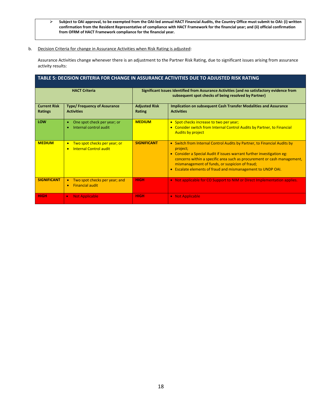➢ **Subject to OAI approval, to be exempted from the OAI-led annual HACT Financial Audits, the Country Office must submit to OAI: (i) written confirmation from the Resident Representative of compliance with HACT Framework for the financial year; and (ii) official confirmation from OFRM of HACT Framework compliance for the financial year.**

#### b. Decision Criteria for change in Assurance Activities when Risk Rating is adjusted:

Assurance Activities change whenever there is an adjustment to the Partner Risk Rating, due to significant issues arising from assurance activity results:

| TABLE 5: DECISION CRITERIA FOR CHANGE IN ASSURANCE ACTIVITIES DUE TO ADJUSTED RISK RATING |
|-------------------------------------------------------------------------------------------|
|-------------------------------------------------------------------------------------------|

| <b>HACT Criteria</b>                  |                                                                              |                                | Significant Issues Identified from Assurance Activities (and no satisfactory evidence from<br>subsequent spot checks of being resolved by Partner)                                                                                                                                                                                                               |
|---------------------------------------|------------------------------------------------------------------------------|--------------------------------|------------------------------------------------------------------------------------------------------------------------------------------------------------------------------------------------------------------------------------------------------------------------------------------------------------------------------------------------------------------|
| <b>Current Risk</b><br><b>Ratings</b> | <b>Type/ Frequency of Assurance</b><br><b>Activities</b>                     | <b>Adjusted Risk</b><br>Rating | <b>Implication on subsequent Cash Transfer Modalities and Assurance</b><br><b>Activities</b>                                                                                                                                                                                                                                                                     |
| LOW                                   | One spot check per year; or<br>Internal control audit                        | <b>MEDIUM</b>                  | • Spot checks increase to two per year;<br>Consider switch from Internal Control Audits by Partner, to Financial<br>$\bullet$<br><b>Audits by project</b>                                                                                                                                                                                                        |
| <b>MFDIUM</b>                         | • Two spot checks per year; or<br><b>Internal Control audit</b><br>$\bullet$ | <b>SIGNIFICANT</b>             | • Switch from Internal Control Audits by Partner, to Financial Audits by<br>project;<br>Consider a Special Audit if issues warrant further investigation eg:<br>۰<br>concerns within a specific area such as procurement or cash management,<br>mismanagement of funds, or suspicion of fraud;<br>Escalate elements of fraud and mismanagement to UNDP OAI.<br>۰ |
| <b>SIGNIFICANT</b>                    | Two spot checks per year; and<br><b>Financial audit</b>                      | <b>HIGH</b>                    | • Not applicable for CO Support to NIM or Direct Implementation applies.                                                                                                                                                                                                                                                                                         |
| <b>HIGH</b>                           | <b>Not Applicable</b><br>$\bullet$                                           | <b>HIGH</b>                    | • Not Applicable                                                                                                                                                                                                                                                                                                                                                 |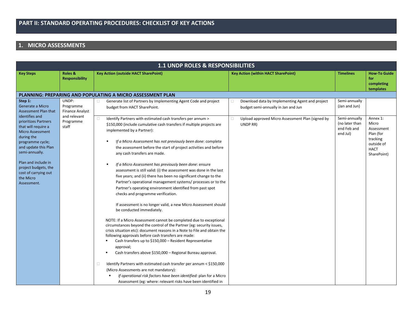## **1. MICRO ASSESSMENTS**

|                                                                                                                                                                                                                                                       | <b>1.1 UNDP ROLES &amp; RESPONSIBILITIES</b>                 |                                                                                                                                                                                                                                                                                                                                                                                                                                                                                                                                                                                                                                                                                                                                                                                                                                                                                                                                                                                                                                                                                                                                                                                                                                                            |                                                                                                                                                           |                                                 |                                                                                          |  |
|-------------------------------------------------------------------------------------------------------------------------------------------------------------------------------------------------------------------------------------------------------|--------------------------------------------------------------|------------------------------------------------------------------------------------------------------------------------------------------------------------------------------------------------------------------------------------------------------------------------------------------------------------------------------------------------------------------------------------------------------------------------------------------------------------------------------------------------------------------------------------------------------------------------------------------------------------------------------------------------------------------------------------------------------------------------------------------------------------------------------------------------------------------------------------------------------------------------------------------------------------------------------------------------------------------------------------------------------------------------------------------------------------------------------------------------------------------------------------------------------------------------------------------------------------------------------------------------------------|-----------------------------------------------------------------------------------------------------------------------------------------------------------|-------------------------------------------------|------------------------------------------------------------------------------------------|--|
| <b>Key Steps</b>                                                                                                                                                                                                                                      | Roles &<br><b>Responsibility</b>                             | <b>Key Action (outside HACT SharePoint)</b>                                                                                                                                                                                                                                                                                                                                                                                                                                                                                                                                                                                                                                                                                                                                                                                                                                                                                                                                                                                                                                                                                                                                                                                                                | <b>Key Action (within HACT SharePoint)</b>                                                                                                                | <b>Timelines</b>                                | <b>How To Guide</b><br>for                                                               |  |
|                                                                                                                                                                                                                                                       |                                                              |                                                                                                                                                                                                                                                                                                                                                                                                                                                                                                                                                                                                                                                                                                                                                                                                                                                                                                                                                                                                                                                                                                                                                                                                                                                            |                                                                                                                                                           |                                                 | completing                                                                               |  |
|                                                                                                                                                                                                                                                       |                                                              | <b>PLANNING: PREPARING AND POPULATING A MICRO ASSESSMENT PLAN</b>                                                                                                                                                                                                                                                                                                                                                                                                                                                                                                                                                                                                                                                                                                                                                                                                                                                                                                                                                                                                                                                                                                                                                                                          |                                                                                                                                                           |                                                 | templates                                                                                |  |
| Step 1:<br>Generate a Micro<br><b>Assessment Plan that</b><br>identifies and                                                                                                                                                                          | UNDP:<br>Programme<br><b>Finance Analyst</b><br>and relevant | Generate list of Partners by Implementing Agent Code and project<br>$\Box$<br>budget from HACT SharePoint.<br>$\Box$<br>Identify Partners with estimated cash transfers per annum >                                                                                                                                                                                                                                                                                                                                                                                                                                                                                                                                                                                                                                                                                                                                                                                                                                                                                                                                                                                                                                                                        | Download data by Implementing Agent and project<br>0<br>budget semi-annually in Jan and Jun<br>Upload approved Micro Assessment Plan (signed by<br>$\Box$ | Semi-annually<br>(Jan and Jun)<br>Semi-annually | Annex 1:                                                                                 |  |
| prioritizes Partners<br>that will require a<br><b>Micro Assessment</b><br>during the<br>programme cycle;<br>and update this Plan<br>semi-annually.<br>Plan and include in<br>project budgets, the<br>cost of carrying out<br>the Micro<br>Assessment. | Programme<br>staff                                           | \$150,000 (include cumulative cash transfers if multiple projects are<br>implemented by a Partner):<br>If a Micro Assessment has not previously been done: complete<br>the assessment before the start of project activities and before<br>any cash transfers are made.<br>If a Micro Assessment has previously been done: ensure<br>assessment is still valid: (i) the assessment was done in the last<br>five years; and (ii) there has been no significant change to the<br>Partner's operational management systems/ processes or to the<br>Partner's operating environment identified from past spot<br>checks and programme verification.<br>If assessment is no longer valid, a new Micro Assessment should<br>be conducted immediately.<br>NOTE: If a Micro Assessment cannot be completed due to exceptional<br>circumstances beyond the control of the Partner (eg: security issues,<br>crisis situation etc): document reasons in a Note to File and obtain the<br>following approvals before cash transfers are made:<br>Cash transfers up to \$150,000 - Resident Representative<br>approval;<br>Cash transfers above \$150,000 - Regional Bureau approval.<br>Identify Partners with estimated cash transfer per annum < \$150,000<br>$\Box$ | UNDP RR)                                                                                                                                                  | (no later than<br>end Feb and<br>end Jul)       | Micro<br>Assessment<br>Plan (for<br>tracking<br>outside of<br><b>HACT</b><br>SharePoint) |  |
|                                                                                                                                                                                                                                                       |                                                              | (Micro Assessments are not mandatory):<br>If operational risk factors have been identified: plan for a Micro<br>Assessment (eg: where: relevant risks have been identified in                                                                                                                                                                                                                                                                                                                                                                                                                                                                                                                                                                                                                                                                                                                                                                                                                                                                                                                                                                                                                                                                              |                                                                                                                                                           |                                                 |                                                                                          |  |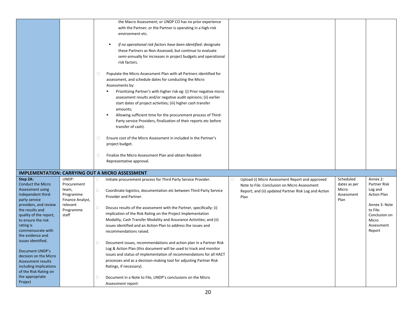|                                          |                  |        | the Macro Assessment; or UNDP CO has no prior experience              |   |                                                      |              |                        |
|------------------------------------------|------------------|--------|-----------------------------------------------------------------------|---|------------------------------------------------------|--------------|------------------------|
|                                          |                  |        |                                                                       |   |                                                      |              |                        |
|                                          |                  |        | with the Partner; or the Partner is operating in a high-risk          |   |                                                      |              |                        |
|                                          |                  |        | environment etc.                                                      |   |                                                      |              |                        |
|                                          |                  |        | $\blacksquare$                                                        |   |                                                      |              |                        |
|                                          |                  |        | If no operational risk factors have been identified: designate        |   |                                                      |              |                        |
|                                          |                  |        | these Partners as Non-Assessed, but continue to evaluate              |   |                                                      |              |                        |
|                                          |                  |        | semi-annually for increases in project budgets and operational        |   |                                                      |              |                        |
|                                          |                  |        | risk factors.                                                         |   |                                                      |              |                        |
|                                          |                  |        |                                                                       |   |                                                      |              |                        |
|                                          |                  | 0      | Populate the Micro Assessment Plan with all Partners identified for   |   |                                                      |              |                        |
|                                          |                  |        | assessment, and schedule dates for conducting the Micro               |   |                                                      |              |                        |
|                                          |                  |        | Assessments by:                                                       |   |                                                      |              |                        |
|                                          |                  |        | Prioritizing Partner's with higher risk eg: (i) Prior negative micro  |   |                                                      |              |                        |
|                                          |                  |        | assessment results and/or negative audit opinions; (ii) earlier       |   |                                                      |              |                        |
|                                          |                  |        | start dates of project activities; (iii) higher cash transfer         |   |                                                      |              |                        |
|                                          |                  |        | amounts;                                                              |   |                                                      |              |                        |
|                                          |                  |        | Allowing sufficient time for the procurement process of Third-        |   |                                                      |              |                        |
|                                          |                  |        | Party service Providers, finalization of their reports etc before     |   |                                                      |              |                        |
|                                          |                  |        | transfer of cash).                                                    |   |                                                      |              |                        |
|                                          |                  |        |                                                                       |   |                                                      |              |                        |
|                                          |                  | 0      | Ensure cost of the Micro Assessment in included in the Partner's      |   |                                                      |              |                        |
|                                          |                  |        | project budget.                                                       |   |                                                      |              |                        |
|                                          |                  | 0      | Finalize the Micro Assessment Plan and obtain Resident                |   |                                                      |              |                        |
|                                          |                  |        |                                                                       |   |                                                      |              |                        |
|                                          |                  |        | Representative approval.                                              |   |                                                      |              |                        |
|                                          |                  |        | <b>IMPLEMENTATION: CARRYING OUT A MICRO ASSESSMENT</b>                |   |                                                      |              |                        |
| Step 2A:                                 | UNDP:            | 0      | Initiate procurement process for Third Party Service Provider.        | 0 | Upload (i) Micro Assessment Report and approved      | Scheduled    | Annex 2:               |
| <b>Conduct the Micro</b>                 | Procurement      |        |                                                                       |   |                                                      | dates as per | Partner Risk           |
| Assessment using                         | team,            | $\Box$ | Coordinate logistics, documentation etc between Third Party Service   |   | Note to File: Conclusion on Micro Assessment         | Micro        | Log and                |
| independent third-                       | Programme        |        | Provider and Partner.                                                 |   | Report; and (ii) updated Partner Risk Log and Action | Assessment   | <b>Action Plan</b>     |
| party service                            | Finance Analyst, |        |                                                                       |   | Plan                                                 | Plan         |                        |
| providers, and review                    | relevant         | $\Box$ | Discuss results of the assessment with the Partner, specifically: (i) |   |                                                      |              | Annex 3: Note          |
| the results and                          | Programme        |        | implication of the Risk Rating on the Project Implementation          |   |                                                      |              | to File:               |
| quality of the report,                   | staff            |        | Modality, Cash Transfer Modality and Assurance Activities; and (ii)   |   |                                                      |              | Conclusion on<br>Micro |
| to ensure the risk<br>rating is          |                  |        | issues identified and an Action Plan to address the issues and        |   |                                                      |              | Assessment             |
| commensurate with                        |                  |        | recommendations raised.                                               |   |                                                      |              | Report                 |
| the evidence and                         |                  |        |                                                                       |   |                                                      |              |                        |
| issues identified.                       |                  | 0      |                                                                       |   |                                                      |              |                        |
|                                          |                  |        | Document issues, recommendations and action plan in a Partner Risk    |   |                                                      |              |                        |
| Document UNDP's                          |                  |        | Log & Action Plan (this document will be used to track and monitor    |   |                                                      |              |                        |
| decision on the Micro                    |                  |        | issues and status of implementation of recommendations for all HACT   |   |                                                      |              |                        |
| Assessment results                       |                  |        | processes and as a decision-making tool for adjusting Partner Risk    |   |                                                      |              |                        |
| including implications                   |                  |        | Ratings, if necessary).                                               |   |                                                      |              |                        |
| of the Risk Rating on<br>the appropriate |                  |        |                                                                       |   |                                                      |              |                        |
|                                          |                  | 0      | Document in a Note to File, UNDP's conclusions on the Micro           |   |                                                      |              |                        |
| Project                                  |                  |        | Assessment report:                                                    |   |                                                      |              |                        |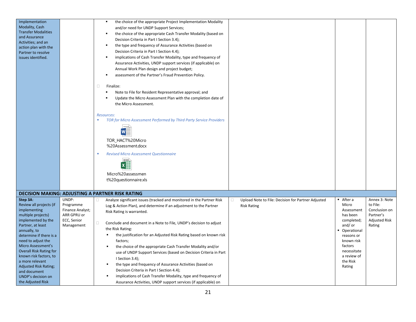| Implementation<br>Modality, Cash<br><b>Transfer Modalities</b><br>and Assurance<br>Activities; and an<br>action plan with the<br>Partner to resolve<br>issues identified.                                                                                                                                                                                                                    |                                                                                    | the choice of the appropriate Project Implementation Modality<br>$\blacksquare$<br>and/or need for UNDP Support Services;<br>the choice of the appropriate Cash Transfer Modality (based on<br>٠<br>Decision Criteria in Part I Section 3.4);<br>the type and frequency of Assurance Activities (based on<br>Decision Criteria in Part I Section 4.4);<br>implications of Cash Transfer Modality, type and frequency of<br>Assurance Activities, UNDP support services (if applicable) on<br>Annual Work Plan design and project budget;<br>assessment of the Partner's Fraud Prevention Policy.<br>$\Box$<br>Finalize:<br>Note to File for Resident Representative approval; and<br>Update the Micro Assessment Plan with the completion date of<br>the Micro Assessment.<br>Resources:<br>TOR for Micro Assessment Performed by Third Party Service Providers<br>$w \equiv$<br>TOR_HACT%20Micro<br>%20Assessment.docx<br><b>Revised Micro Assessment Questionnaire</b><br>$=$<br>$\boldsymbol{\mathsf{x}}$<br>Micro%20assessmen<br>t%20questionnaire.xls |                                                                                                                                                                                   |                                                                                    |
|----------------------------------------------------------------------------------------------------------------------------------------------------------------------------------------------------------------------------------------------------------------------------------------------------------------------------------------------------------------------------------------------|------------------------------------------------------------------------------------|------------------------------------------------------------------------------------------------------------------------------------------------------------------------------------------------------------------------------------------------------------------------------------------------------------------------------------------------------------------------------------------------------------------------------------------------------------------------------------------------------------------------------------------------------------------------------------------------------------------------------------------------------------------------------------------------------------------------------------------------------------------------------------------------------------------------------------------------------------------------------------------------------------------------------------------------------------------------------------------------------------------------------------------------------------|-----------------------------------------------------------------------------------------------------------------------------------------------------------------------------------|------------------------------------------------------------------------------------|
|                                                                                                                                                                                                                                                                                                                                                                                              |                                                                                    |                                                                                                                                                                                                                                                                                                                                                                                                                                                                                                                                                                                                                                                                                                                                                                                                                                                                                                                                                                                                                                                            |                                                                                                                                                                                   |                                                                                    |
|                                                                                                                                                                                                                                                                                                                                                                                              |                                                                                    | <b>DECISION MAKING: ADJUSTING A PARTNER RISK RATING</b>                                                                                                                                                                                                                                                                                                                                                                                                                                                                                                                                                                                                                                                                                                                                                                                                                                                                                                                                                                                                    |                                                                                                                                                                                   |                                                                                    |
| Step 3A:<br>Review all projects (if<br>implementing<br>multiple projects)<br>implemented by the<br>Partner, at least<br>annually, to<br>determine if there is a<br>need to adjust the<br>Micro Assessment's<br><b>Overall Risk Rating for</b><br>known risk factors, to<br>a more relevant<br><b>Adjusted Risk Rating;</b><br>and document<br><b>UNDP's decision on</b><br>the Adjusted Risk | UNDP:<br>Programme<br>Finance Analyst;<br>ARR GPRU or<br>ECC, Senior<br>Management | Analyze significant issues (tracked and monitored in the Partner Risk<br>0<br>Upload Note to File: Decision for Partner Adjusted<br>0<br>Log & Action Plan), and determine if an adjustment to the Partner<br><b>Risk Rating</b><br>Risk Rating is warranted.<br>0<br>Conclude and document in a Note to File, UNDP's decision to adjust<br>the Risk Rating:<br>the justification for an Adjusted Risk Rating based on known risk<br>factors;<br>the choice of the appropriate Cash Transfer Modality and/or<br>use of UNDP Support Services (based on Decision Criteria in Part<br>I Section 3.4);<br>the type and frequency of Assurance Activities (based on<br>Decision Criteria in Part I Section 4.4);<br>implications of Cash Transfer Modality, type and frequency of<br>Assurance Activities, UNDP support services (if applicable) on                                                                                                                                                                                                            | After a<br>Micro<br>Assessment<br>has been<br>completed;<br>and/ $or$<br>• Operational<br>reasons or<br>known risk<br>factors<br>necessitate<br>a review of<br>the Risk<br>Rating | Annex 3: Note<br>to File:<br>Conclusion on<br>Partner's<br>Adjusted Risk<br>Rating |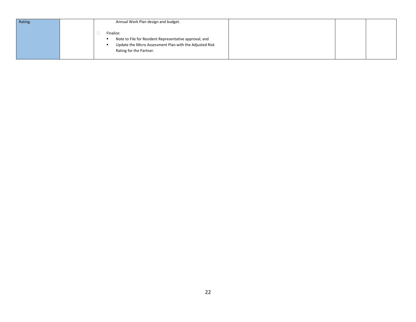| Rating. | Annual Work Plan design and budget.                                                                                                                       |  |
|---------|-----------------------------------------------------------------------------------------------------------------------------------------------------------|--|
|         | Finalize:<br>Note to File for Resident Representative approval; and<br>Update the Micro Assessment Plan with the Adjusted Risk<br>Rating for the Partner. |  |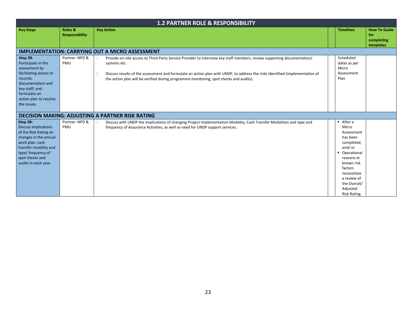|                                                                                                                                                                                                        | <b>1.2 PARTNER ROLE &amp; RESPONSIBILITY</b> |                                                                                                                                                                                                                                                                                                                                                                        |  |                                                                                                                                                                                                           |                                                       |  |  |
|--------------------------------------------------------------------------------------------------------------------------------------------------------------------------------------------------------|----------------------------------------------|------------------------------------------------------------------------------------------------------------------------------------------------------------------------------------------------------------------------------------------------------------------------------------------------------------------------------------------------------------------------|--|-----------------------------------------------------------------------------------------------------------------------------------------------------------------------------------------------------------|-------------------------------------------------------|--|--|
| <b>Key Steps</b>                                                                                                                                                                                       | Roles &<br><b>Responsibility</b>             | <b>Key Action</b>                                                                                                                                                                                                                                                                                                                                                      |  | <b>Timelines</b>                                                                                                                                                                                          | <b>How-To Guide</b><br>for<br>completing<br>templates |  |  |
|                                                                                                                                                                                                        |                                              | <b>IMPLEMENTATION: CARRYING OUT A MICRO ASSESSMENT</b>                                                                                                                                                                                                                                                                                                                 |  |                                                                                                                                                                                                           |                                                       |  |  |
| Step 2B:<br>Participate in the<br>assessment by<br>facilitating access to<br>records,<br>documentation and<br>key staff; and<br>formulate an<br>action plan to resolve<br>the issues.                  | Partner: NPD &<br>PMU                        | Provide on-site access to Third Party Service Provider to interview key staff members, review supporting documentation/<br>0<br>systems etc.<br>Discuss results of the assessment and formulate an action plan with UNDP, to address the risks identified (implementation of<br>the action plan will be verified during programme monitoring, spot checks and audits). |  | Scheduled<br>dates as per<br>Micro<br>Assessment<br>Plan                                                                                                                                                  |                                                       |  |  |
|                                                                                                                                                                                                        |                                              | <b>DECISION MAKING: ADJUSTING A PARTNER RISK RATING</b>                                                                                                                                                                                                                                                                                                                |  |                                                                                                                                                                                                           |                                                       |  |  |
| Step 3B:<br><b>Discuss implications</b><br>of the Risk Rating on<br>changes in the annual<br>work plan, cash<br>transfer modality and<br>type/ frequency of<br>spot checks and<br>audits in each year. | Partner: NPD &<br>PMU                        | Discuss with UNDP the implications of changing Project Implementation Modality, Cash Transfer Modalities and type and<br>frequency of Assurance Activities, as well as need for UNDP support services.                                                                                                                                                                 |  | After a<br>Micro<br>Assessment<br>has been<br>completed;<br>and/ or<br>Operational<br>reasons or<br>known risk<br>factors<br>necessitate<br>a review of<br>the Overall/<br>Adjusted<br><b>Risk Rating</b> |                                                       |  |  |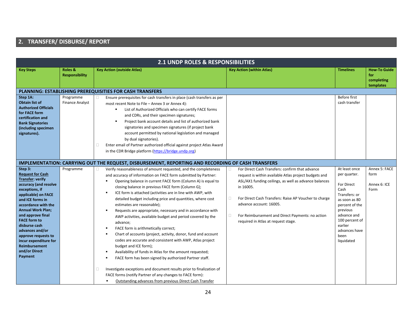## **2. TRANSFER/ DISBURSE/ REPORT**

|                                                                                                                                                                                                                                                                                                                                                                                            |                                     | <b>2.1 UNDP ROLES &amp; RESPONSIBILITIES</b>                                                                                                                                                                                                                                                                                                                                                                                                                                                                                                                                                                                                                                                                                                                                                                                                                                                                                                                                                                                                                                                                                                 |                                                                                                                                                                                                                                                                                                                                                                                        |                                                                                                                                                                                                        |                                                       |
|--------------------------------------------------------------------------------------------------------------------------------------------------------------------------------------------------------------------------------------------------------------------------------------------------------------------------------------------------------------------------------------------|-------------------------------------|----------------------------------------------------------------------------------------------------------------------------------------------------------------------------------------------------------------------------------------------------------------------------------------------------------------------------------------------------------------------------------------------------------------------------------------------------------------------------------------------------------------------------------------------------------------------------------------------------------------------------------------------------------------------------------------------------------------------------------------------------------------------------------------------------------------------------------------------------------------------------------------------------------------------------------------------------------------------------------------------------------------------------------------------------------------------------------------------------------------------------------------------|----------------------------------------------------------------------------------------------------------------------------------------------------------------------------------------------------------------------------------------------------------------------------------------------------------------------------------------------------------------------------------------|--------------------------------------------------------------------------------------------------------------------------------------------------------------------------------------------------------|-------------------------------------------------------|
| <b>Key Steps</b>                                                                                                                                                                                                                                                                                                                                                                           | Roles &<br><b>Responsibility</b>    | <b>Key Action (outside Atlas)</b>                                                                                                                                                                                                                                                                                                                                                                                                                                                                                                                                                                                                                                                                                                                                                                                                                                                                                                                                                                                                                                                                                                            | <b>Key Action (within Atlas)</b>                                                                                                                                                                                                                                                                                                                                                       | <b>Timelines</b>                                                                                                                                                                                       | <b>How To Guide</b><br>for<br>completing<br>templates |
|                                                                                                                                                                                                                                                                                                                                                                                            |                                     | <b>PLANNING: ESTABLISHING PREREQUISITIES FOR CASH TRANSFERS</b>                                                                                                                                                                                                                                                                                                                                                                                                                                                                                                                                                                                                                                                                                                                                                                                                                                                                                                                                                                                                                                                                              |                                                                                                                                                                                                                                                                                                                                                                                        |                                                                                                                                                                                                        |                                                       |
| Step 1A:<br><b>Obtain list of</b><br><b>Authorized Officials</b><br>for FACE form<br>certification and<br><b>Bank Signatories</b><br>(including specimen<br>signatures).                                                                                                                                                                                                                   | Programme<br><b>Finance Analyst</b> | Ensure prerequisites for cash transfers in place (cash transfers as per<br>$\Box$<br>most recent Note to File - Annex 3 or Annex 4):<br>List of Authorized Officials who can certify FACE forms<br>and CDRs, and their specimen signatures;<br>Project bank account details and list of authorized bank<br>signatories and specimen signatures (if project bank<br>account permitted by national legislation and managed<br>by dual signatories).<br>Enter email of Partner authorized official against project Atlas Award<br>0<br>in the CDR Bridge platform (https://bridge.undp.org)                                                                                                                                                                                                                                                                                                                                                                                                                                                                                                                                                     |                                                                                                                                                                                                                                                                                                                                                                                        | Before first<br>cash transfer                                                                                                                                                                          |                                                       |
|                                                                                                                                                                                                                                                                                                                                                                                            |                                     | <b>IMPLEMENTATION: CARRYING OUT THE REQUEST, DISBURSEMENT, REPORTING AND RECORDING OF CASH TRANSFERS</b>                                                                                                                                                                                                                                                                                                                                                                                                                                                                                                                                                                                                                                                                                                                                                                                                                                                                                                                                                                                                                                     |                                                                                                                                                                                                                                                                                                                                                                                        |                                                                                                                                                                                                        |                                                       |
| Step 3:<br><b>Request for Cash</b><br><b>Transfer: verify</b><br>accuracy (and resolve<br>exceptions, if<br>applicable) on FACE<br>and ICE forms in<br>accordance with the<br><b>Annual Work Plan;</b><br>and approve final<br><b>FACE form to</b><br>disburse cash<br>advances and/or<br>approve requests to<br>incur expenditure for<br><b>Reimbursement</b><br>and/or Direct<br>Payment | Programme                           | Verify reasonableness of amount requested, and the completeness<br>0<br>and accuracy of information on FACE form submitted by Partner:<br>Opening balance in current FACE form (Column A) is equal to<br>closing balance in previous FACE form (Column G);<br>ICE form is attached (activities are in line with AWP, with<br>$\blacksquare$<br>detailed budget including price and quantities, where cost<br>estimates are reasonable);<br>Requests are appropriate, necessary and in accordance with<br>$\blacksquare$<br>AWP activities, available budget and period covered by the<br>advance;<br>FACE form is arithmetically correct;<br>Chart of accounts (project, activity, donor, fund and account<br>codes are accurate and consistent with AWP, Atlas project<br>budget and ICE form);<br>Availability of funds in Atlas for the amount requested;<br>FACE form has been signed by authorized Partner staff.<br>Investigate exceptions and document results prior to finalization of<br>□<br>FACE forms (notify Partner of any changes to FACE form):<br>Outstanding advances from previous Direct Cash Transfer<br>$\blacksquare$ | For Direct Cash Transfers: confirm that advance<br>0<br>request is within available Atlas project budgets and<br>ASL/AX1 funding ceilings, as well as advance balances<br>in 16005.<br>$\Box$<br>For Direct Cash Transfers: Raise AP Voucher to charge<br>advance account: 16005.<br>For Reimbursement and Direct Payments: no action<br>$\Box$<br>required in Atlas at request stage. | At least once<br>per quarter.<br>For Direct<br>Cash<br>Transfers: or<br>as soon as 80<br>percent of the<br>previous<br>advance and<br>100 percent of<br>earlier<br>advances have<br>been<br>liquidated | Annex 5: FACE<br>form<br>Annex 6: ICE<br>Form         |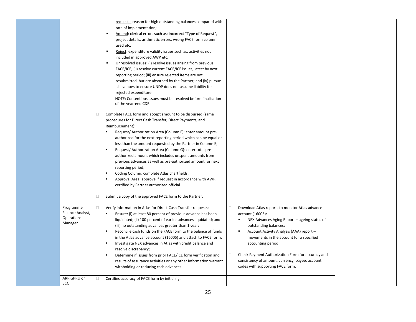|                                                        | requests: reason for high outstanding balances compared with<br>rate of implementation;<br>Amend: clerical errors such as: incorrect "Type of Request",<br>project details, arithmetic errors, wrong FACE form column<br>used etc;<br>Reject: expenditure validity issues such as: activities not<br>$\blacksquare$<br>included in approved AWP etc;<br>Unresolved issues: (i) resolve issues arising from previous<br>$\blacksquare$<br>FACE/ICE; (ii) resolve current FACE/ICE issues, latest by next<br>reporting period; (iii) ensure rejected items are not<br>resubmitted, but are absorbed by the Partner; and (iv) pursue<br>all avenues to ensure UNDP does not assume liability for<br>rejected expenditure.<br>NOTE: Contentious issues must be resolved before finalization<br>of the year-end CDR.<br>Complete FACE form and accept amount to be disbursed (same<br>$\Box$<br>procedures for Direct Cash Transfer, Direct Payments, and<br>Reimbursement):<br>Request/ Authorization Area (Column F): enter amount pre-<br>authorized for the next reporting period which can be equal or<br>less than the amount requested by the Partner in Column E;<br>Request/ Authorization Area (Column G): enter total pre-<br>$\blacksquare$<br>authorized amount which includes unspent amounts from<br>previous advances as well as pre-authorized amount for next<br>reporting period;<br>Coding Column: complete Atlas chartfields;<br>٠<br>Approval Area: approve if request in accordance with AWP,<br>certified by Partner authorized official.<br>Submit a copy of the approved FACE form to the Partner.<br>$\Box$ |                                                                                                                                                                                                                                                                                                                                                                                                        |  |
|--------------------------------------------------------|-----------------------------------------------------------------------------------------------------------------------------------------------------------------------------------------------------------------------------------------------------------------------------------------------------------------------------------------------------------------------------------------------------------------------------------------------------------------------------------------------------------------------------------------------------------------------------------------------------------------------------------------------------------------------------------------------------------------------------------------------------------------------------------------------------------------------------------------------------------------------------------------------------------------------------------------------------------------------------------------------------------------------------------------------------------------------------------------------------------------------------------------------------------------------------------------------------------------------------------------------------------------------------------------------------------------------------------------------------------------------------------------------------------------------------------------------------------------------------------------------------------------------------------------------------------------------------------------------------------------------------------|--------------------------------------------------------------------------------------------------------------------------------------------------------------------------------------------------------------------------------------------------------------------------------------------------------------------------------------------------------------------------------------------------------|--|
| Programme<br>Finance Analyst,<br>Operations<br>Manager | $\Box$<br>Verify information in Atlas for Direct Cash Transfer requests:<br>□<br>Ensure: (i) at least 80 percent of previous advance has been<br>liquidated; (ii) 100 percent of earlier advances liquidated; and<br>(iii) no outstanding advances greater than 1 year;<br>Reconcile cash funds on the FACE form to the balance of funds<br>$\blacksquare$<br>in the Atlas advance account (16005) and attach to FACE form;<br>Investigate NEX advances in Atlas with credit balance and<br>٠<br>resolve discrepancy;<br>$\Box$<br>Determine if issues from prior FACE/ICE form verification and<br>٠<br>results of assurance activities or any other information warrant<br>withholding or reducing cash advances.                                                                                                                                                                                                                                                                                                                                                                                                                                                                                                                                                                                                                                                                                                                                                                                                                                                                                                               | Download Atlas reports to monitor Atlas advance<br>account (16005):<br>NEX Advances Aging Report - ageing status of<br>outstanding balances;<br>Account Activity Analysis (AAA) report -<br>movements in the account for a specified<br>accounting period.<br>Check Payment Authorization Form for accuracy and<br>consistency of amount, currency, payee, account<br>codes with supporting FACE form. |  |
| ARR GPRU or<br>ECC                                     | Certifies accuracy of FACE form by initialing.<br>$\Box$                                                                                                                                                                                                                                                                                                                                                                                                                                                                                                                                                                                                                                                                                                                                                                                                                                                                                                                                                                                                                                                                                                                                                                                                                                                                                                                                                                                                                                                                                                                                                                          |                                                                                                                                                                                                                                                                                                                                                                                                        |  |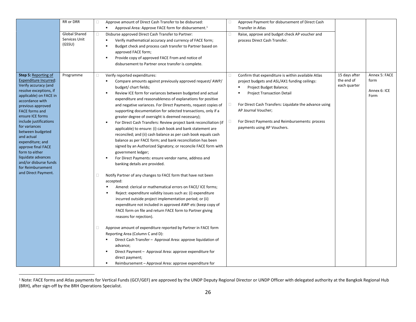|                                                                                                                                                                                                                                                                                                                                                                                                                                                    | RR or DRR                                       | Approve amount of Direct Cash Transfer to be disbursed:<br>$\Box$<br>$\blacksquare$<br>Approval Area: Approve FACE form for disbursement. <sup>1</sup>                                                                                                                                                                                                                                                                                                                                                                                                                                                                                                                                                                                                                                                                                                                                                                                                                                                                                                                                                                                                                                                                                                                                                                                                                                                                                                                                                                                                                                                                                                             | □                | Approve Payment for disbursement of Direct Cash<br>Transfer in Atlas                                                                                                                                                                                                                                                                   |                                             |                                               |
|----------------------------------------------------------------------------------------------------------------------------------------------------------------------------------------------------------------------------------------------------------------------------------------------------------------------------------------------------------------------------------------------------------------------------------------------------|-------------------------------------------------|--------------------------------------------------------------------------------------------------------------------------------------------------------------------------------------------------------------------------------------------------------------------------------------------------------------------------------------------------------------------------------------------------------------------------------------------------------------------------------------------------------------------------------------------------------------------------------------------------------------------------------------------------------------------------------------------------------------------------------------------------------------------------------------------------------------------------------------------------------------------------------------------------------------------------------------------------------------------------------------------------------------------------------------------------------------------------------------------------------------------------------------------------------------------------------------------------------------------------------------------------------------------------------------------------------------------------------------------------------------------------------------------------------------------------------------------------------------------------------------------------------------------------------------------------------------------------------------------------------------------------------------------------------------------|------------------|----------------------------------------------------------------------------------------------------------------------------------------------------------------------------------------------------------------------------------------------------------------------------------------------------------------------------------------|---------------------------------------------|-----------------------------------------------|
|                                                                                                                                                                                                                                                                                                                                                                                                                                                    | <b>Global Shared</b><br>Services Unit<br>(GSSU) | 0<br>Disburse approved Direct Cash Transfer to Partner:<br>Verify mathematical accuracy and currency of FACE form;<br>٠<br>Budget check and process cash transfer to Partner based on<br>approved FACE form;<br>Provide copy of approved FACE From and notice of<br>disbursement to Partner once transfer is complete.                                                                                                                                                                                                                                                                                                                                                                                                                                                                                                                                                                                                                                                                                                                                                                                                                                                                                                                                                                                                                                                                                                                                                                                                                                                                                                                                             | 0                | Raise, approve and budget check AP voucher and<br>process Direct Cash Transfer.                                                                                                                                                                                                                                                        |                                             |                                               |
| Step 5: Reporting of<br>Expenditure Incurred:<br>Verify accuracy (and<br>resolve exceptions, if<br>applicable) on FACE in<br>accordance with<br>previous approved<br><b>FACE forms and</b><br>ensure ICE forms<br>include justifications<br>for variances<br>between budgeted<br>and actual<br>expenditure; and<br>approve final FACE<br>form to either<br>liquidate advances<br>and/or disburse funds<br>for Reimbursement<br>and Direct Payment. | Programme                                       | Verify reported expenditures:<br>0<br>Compare amounts against previously approved request/ AWP/<br>budget/ chart fields;<br>Review ICE form for variances between budgeted and actual<br>expenditure and reasonableness of explanations for positive<br>and negative variances. For Direct Payments, request copies of<br>supporting documentation for selected transactions, only if a<br>greater degree of oversight is deemed necessary);<br>For Direct Cash Transfers: Review project bank reconciliation (if<br>applicable) to ensure: (i) cash book and bank statement are<br>reconciled; and (ii) cash balance as per cash book equals cash<br>balance as per FACE form; and bank reconciliation has been<br>signed by an Authorized Signatory; or reconcile FACE form with<br>government ledger;<br>For Direct Payments: ensure vendor name, address and<br>banking details are provided.<br>0<br>Notify Partner of any changes to FACE form that have not been<br>accepted:<br>Amend: clerical or mathematical errors on FACE/ ICE forms;<br>Reject: expenditure validity issues such as: (i) expenditure<br>incurred outside project implementation period; or (ii)<br>expenditure not included in approved AWP etc (keep copy of<br>FACE form on file and return FACE form to Partner giving<br>reasons for rejection).<br>Approve amount of expenditure reported by Partner in FACE form<br>Ω.<br>Reporting Area (Column C and D):<br>Direct Cash Transfer - Approval Area: approve liquidation of<br>advance;<br>Direct Payment - Approval Area: approve expenditure for<br>direct payment;<br>Reimbursement - Approval Area: approve expenditure for | 0<br>$\Box$<br>0 | Confirm that expenditure is within available Atlas<br>project budgets and ASL/AX1 funding ceilings:<br>Project Budget Balance;<br><b>Project Transaction Detail</b><br>For Direct Cash Transfers: Liquidate the advance using<br>AP Journal Voucher;<br>For Direct Payments and Reimbursements: process<br>payments using AP Vouchers. | 15 days after<br>the end of<br>each quarter | Annex 5: FACE<br>form<br>Annex 6: ICE<br>Form |

<sup>&</sup>lt;sup>1</sup> Note: FACE forms and Atlas payments for Vertical Funds (GCF/GEF) are approved by the UNDP Deputy Regional Director or UNDP Officer with delegated authority at the Bangkok Regional Hub (BRH), after sign-off by the BRH Operations Specialist.

l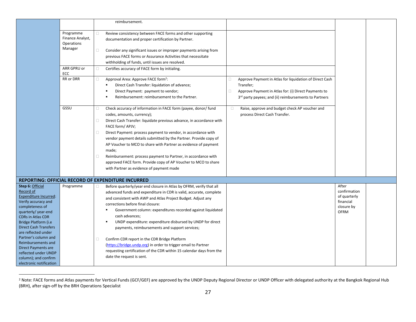|                                                                                                                                                                                                                                                                                                                                                                                   |                                                        | reimbursement.                                                                                                                                                                                                                                                                                                                                                                                                                                                                                                                                                                                                                                                                         |                                                                                                                                                                                                      |                                                                                 |
|-----------------------------------------------------------------------------------------------------------------------------------------------------------------------------------------------------------------------------------------------------------------------------------------------------------------------------------------------------------------------------------|--------------------------------------------------------|----------------------------------------------------------------------------------------------------------------------------------------------------------------------------------------------------------------------------------------------------------------------------------------------------------------------------------------------------------------------------------------------------------------------------------------------------------------------------------------------------------------------------------------------------------------------------------------------------------------------------------------------------------------------------------------|------------------------------------------------------------------------------------------------------------------------------------------------------------------------------------------------------|---------------------------------------------------------------------------------|
|                                                                                                                                                                                                                                                                                                                                                                                   | Programme<br>Finance Analyst,<br>Operations<br>Manager | Review consistency between FACE forms and other supporting<br>0<br>documentation and proper certification by Partner.<br>$\Box$<br>Consider any significant issues or improper payments arising from                                                                                                                                                                                                                                                                                                                                                                                                                                                                                   |                                                                                                                                                                                                      |                                                                                 |
|                                                                                                                                                                                                                                                                                                                                                                                   |                                                        | previous FACE forms or Assurance Activities that necessitate<br>withholding of funds, until issues are resolved.                                                                                                                                                                                                                                                                                                                                                                                                                                                                                                                                                                       |                                                                                                                                                                                                      |                                                                                 |
|                                                                                                                                                                                                                                                                                                                                                                                   | ARR GPRU or<br>ECC                                     | $\Box$<br>Certifies accuracy of FACE form by initialing.                                                                                                                                                                                                                                                                                                                                                                                                                                                                                                                                                                                                                               |                                                                                                                                                                                                      |                                                                                 |
|                                                                                                                                                                                                                                                                                                                                                                                   | RR or DRR                                              | Approval Area: Approve FACE form <sup>2</sup> :<br>о<br>Direct Cash Transfer: liquidation of advance;<br>Direct Payment: payment to vendor;<br>Reimbursement: reimbursement to the Partner.                                                                                                                                                                                                                                                                                                                                                                                                                                                                                            | Approve Payment in Atlas for liquidation of Direct Cash<br>0<br>Transfer;<br>$\Box$<br>Approve Payment in Atlas for: (i) Direct Payments to<br>3rd party payees; and (ii) reimbursements to Partners |                                                                                 |
|                                                                                                                                                                                                                                                                                                                                                                                   | GSSU                                                   | Check accuracy of information in FACE form (payee, donor/ fund<br>0<br>codes, amounts, currency);<br>Direct Cash Transfer: liquidate previous advance, in accordance with<br>0<br>FACE form/ APJV;<br>Direct Payment: process payment to vendor, in accordance with<br>0<br>vendor payment details submitted by the Partner. Provide copy of<br>AP Voucher to MCO to share with Partner as evidence of payment<br>made;<br>$\Box$<br>Reimbursement: process payment to Partner, in accordance with<br>approved FACE form. Provide copy of AP Voucher to MCO to share<br>with Partner as evidence of payment made                                                                       | $\Box$<br>Raise, approve and budget check AP voucher and<br>process Direct Cash Transfer.                                                                                                            |                                                                                 |
|                                                                                                                                                                                                                                                                                                                                                                                   |                                                        | REPORTING: OFFICIAL RECORD OF EXPENDITURE INCURRED                                                                                                                                                                                                                                                                                                                                                                                                                                                                                                                                                                                                                                     |                                                                                                                                                                                                      |                                                                                 |
| Step 6: Official<br>Record of<br>Expenditure Incurred:<br>Verify accuracy and<br>completeness of<br>quarterly/year-end<br><b>CDRs in Atlas CDR</b><br>Bridge Platform (i.e<br><b>Direct Cash Transfers</b><br>are reflected under<br>Partner's column and<br>Reimbursements and<br>Direct Payments are<br>reflected under UNDP<br>column); and confirm<br>electronic notification | Programme                                              | Before quarterly/year end closure in Atlas by OFRM, verify that all<br>$\Box$<br>advanced funds and expenditure in CDR is valid, accurate, complete<br>and consistent with AWP and Atlas Project Budget. Adjust any<br>corrections before final closure:<br>Government column: expenditures recorded against liquidated<br>cash advances;<br>UNDP expenditure: expenditure disbursed by UNDP for direct<br>payments, reimbursements and support services;<br>Confirm CDR report in the CDR Bridge Platform<br>0<br>(https://bridge.undp.org) in order to trigger email to Partner<br>requesting certification of the CDR within 15 calendar days from the<br>date the request is sent. |                                                                                                                                                                                                      | After<br>confirmation<br>of quarterly<br>financial<br>closure by<br><b>OFRM</b> |

<sup>&</sup>lt;sup>2</sup> Note: FACE forms and Atlas payments for Vertical Funds (GCF/GEF) are approved by the UNDP Deputy Regional Director or UNDP Officer with delegated authority at the Bangkok Regional Hub (BRH), after sign-off by the BRH Operations Specialist

l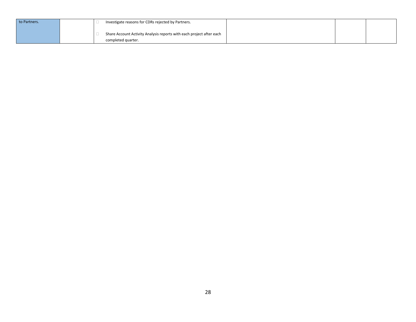| to Partners. | Investigate reasons for CDRs rejected by Partners.                                         |  |  |
|--------------|--------------------------------------------------------------------------------------------|--|--|
|              | Share Account Activity Analysis reports with each project after each<br>completed quarter. |  |  |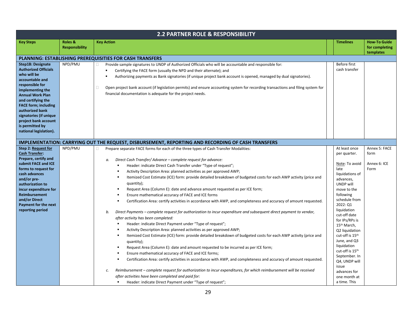|                                                                                                                                                                                                                                                                                                                                    | 2.2 PARTNER ROLE & RESPONSIBILITY |                                                                                                                                                                                                                                                                                                                                                                                                                                                                                                                                                                                                                                                                                                                                                                                                                                                                                                                                                                                                                                                                                                                                                                                                                                                                                                                                                                                                                                                                                                                                                                                                                                                                                                                                                     |                                                                                                                                                                                                                                                                                                                                                                                                                                         |                                                    |  |  |  |
|------------------------------------------------------------------------------------------------------------------------------------------------------------------------------------------------------------------------------------------------------------------------------------------------------------------------------------|-----------------------------------|-----------------------------------------------------------------------------------------------------------------------------------------------------------------------------------------------------------------------------------------------------------------------------------------------------------------------------------------------------------------------------------------------------------------------------------------------------------------------------------------------------------------------------------------------------------------------------------------------------------------------------------------------------------------------------------------------------------------------------------------------------------------------------------------------------------------------------------------------------------------------------------------------------------------------------------------------------------------------------------------------------------------------------------------------------------------------------------------------------------------------------------------------------------------------------------------------------------------------------------------------------------------------------------------------------------------------------------------------------------------------------------------------------------------------------------------------------------------------------------------------------------------------------------------------------------------------------------------------------------------------------------------------------------------------------------------------------------------------------------------------------|-----------------------------------------------------------------------------------------------------------------------------------------------------------------------------------------------------------------------------------------------------------------------------------------------------------------------------------------------------------------------------------------------------------------------------------------|----------------------------------------------------|--|--|--|
| <b>Key Steps</b>                                                                                                                                                                                                                                                                                                                   | Roles &<br><b>Responsibility</b>  | <b>Key Action</b>                                                                                                                                                                                                                                                                                                                                                                                                                                                                                                                                                                                                                                                                                                                                                                                                                                                                                                                                                                                                                                                                                                                                                                                                                                                                                                                                                                                                                                                                                                                                                                                                                                                                                                                                   | <b>Timelines</b>                                                                                                                                                                                                                                                                                                                                                                                                                        | <b>How-To Guide</b><br>for completing<br>templates |  |  |  |
|                                                                                                                                                                                                                                                                                                                                    |                                   | PLANNING: ESTABLISHING PREREQUISITIES FOR CASH TRANSFERS                                                                                                                                                                                                                                                                                                                                                                                                                                                                                                                                                                                                                                                                                                                                                                                                                                                                                                                                                                                                                                                                                                                                                                                                                                                                                                                                                                                                                                                                                                                                                                                                                                                                                            |                                                                                                                                                                                                                                                                                                                                                                                                                                         |                                                    |  |  |  |
| <b>Step1B: Designate</b><br><b>Authorized Officials</b><br>who will be<br>accountable and<br>responsible for<br>implementing the<br><b>Annual Work Plan</b><br>and certifying the<br><b>FACE form; including</b><br>authorized bank<br>signatories (if unique<br>project bank account<br>is permitted by<br>national legislation). | NPD/PMU                           | Provide sample signatures to UNDP of Authorized Officials who will be accountable and responsible for:<br>0<br>Certifying the FACE form (usually the NPD and their alternate); and<br>Authorizing payments as Bank signatories (if unique project bank account is opened, managed by dual signatories).<br>0<br>Open project bank account (if legislation permits) and ensure accounting system for recording transactions and filing system for<br>financial documentation is adequate for the project needs.                                                                                                                                                                                                                                                                                                                                                                                                                                                                                                                                                                                                                                                                                                                                                                                                                                                                                                                                                                                                                                                                                                                                                                                                                                      | Before first<br>cash transfer                                                                                                                                                                                                                                                                                                                                                                                                           |                                                    |  |  |  |
|                                                                                                                                                                                                                                                                                                                                    |                                   | IMPLEMENTATION: CARRYING OUT THE REQUEST, DISBURSEMENT, REPORTING AND RECORDING OF CASH TRANSFERS                                                                                                                                                                                                                                                                                                                                                                                                                                                                                                                                                                                                                                                                                                                                                                                                                                                                                                                                                                                                                                                                                                                                                                                                                                                                                                                                                                                                                                                                                                                                                                                                                                                   |                                                                                                                                                                                                                                                                                                                                                                                                                                         |                                                    |  |  |  |
| <b>Step 2: Request for</b><br><b>Cash Transfer:</b><br>Prepare, certify and<br>submit FACE and ICE<br>forms to request for<br>cash advances<br>and/or pre-<br>authorization to<br>incur expenditure for<br>Reimbursement<br>and/or Direct<br>Payment for the next<br>reporting period                                              | NPD/PMU                           | Prepare separate FACE forms for each of the three types of Cash Transfer Modalities:<br>0<br>Direct Cash Transfer/Advance - complete request for advance:<br>а.<br>Header: indicate Direct Cash Transfer under "Type of request";<br>$\blacksquare$<br>Activity Description Area: planned activities as per approved AWP;<br>$\blacksquare$<br>Itemized Cost Estimate (ICE) form: provide detailed breakdown of budgeted costs for each AWP activity (price and<br>quantity);<br>Request Area (Column E): date and advance amount requested as per ICE form;<br>$\blacksquare$<br>Ensure mathematical accuracy of FACE and ICE forms<br>Certification Area: certify activities in accordance with AWP, and completeness and accuracy of amount requested.<br>Direct Payments - complete request for authorization to incur expenditure and subsequent direct payment to vendor,<br>b.<br>after activity has been completed:<br>Header: indicate Direct Payment under "Type of request";<br>Activity Description Area: planned activities as per approved AWP;<br>$\blacksquare$<br>Itemized Cost Estimate (ICE) form: provide detailed breakdown of budgeted costs for each AWP activity (price and<br>$\blacksquare$<br>quantity);<br>Request Area (Column E): date and amount requested to be incurred as per ICE form;<br>Ensure mathematical accuracy of FACE and ICE forms;<br>Certification Area: certify activities in accordance with AWP, and completeness and accuracy of amount requested.<br>Reimbursement - complete request for authorization to incur expenditures, for which reimbursement will be received<br>c.<br>after activities have been completed and paid for:<br>Header: indicate Direct Payment under "Type of request"; | At least once<br>per quarter.<br>Note: To avoid<br>late<br>liquidations of<br>advances,<br>UNDP will<br>move to the<br>following<br>schedule from<br>2022: Q1<br>liquidation<br>cut-off date<br>for IPs/RPs is<br>15 <sup>th</sup> March,<br>Q2 liquidation<br>cut-off is 15th<br>June, and Q3<br>liquidation<br>cut-off is 15 <sup>th</sup><br>September. In<br>Q4, UNDP will<br>issue<br>advances for<br>one month at<br>a time. This | Annex 5: FACE<br>form<br>Annex 6: ICE<br>Form      |  |  |  |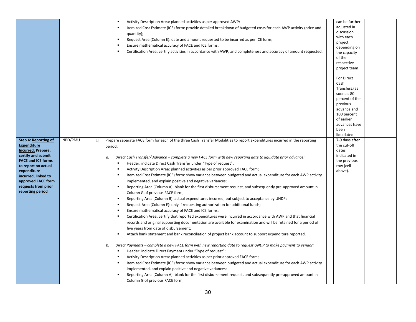|                                                                                                                                                                                                                                                   |         | Activity Description Area: planned activities as per approved AWP;<br>Itemized Cost Estimate (ICE) form: provide detailed breakdown of budgeted costs for each AWP activity (price and<br>٠<br>quantity);<br>Request Area (Column E): date and amount requested to be incurred as per ICE form;<br>Ensure mathematical accuracy of FACE and ICE forms;<br>٠<br>Certification Area: certify activities in accordance with AWP, and completeness and accuracy of amount requested.<br>$\blacksquare$                                                                                                                                                                                                                                                                                                                                                                                                                                                                                                                                                                                                                                                                                                                                                                                                                                                                                                                                                                                                                                                                                                                                                                                                                                                                                                                                                                                                                                                                                                                                                             | can be further<br>adjusted in<br>discussion<br>with each<br>project,<br>depending on<br>the capacity<br>of the<br>respective<br>project team.<br>For Direct<br>Cash<br>Transfers: (as<br>soon as 80<br>percent of the<br>previous<br>advance and<br>100 percent |
|---------------------------------------------------------------------------------------------------------------------------------------------------------------------------------------------------------------------------------------------------|---------|----------------------------------------------------------------------------------------------------------------------------------------------------------------------------------------------------------------------------------------------------------------------------------------------------------------------------------------------------------------------------------------------------------------------------------------------------------------------------------------------------------------------------------------------------------------------------------------------------------------------------------------------------------------------------------------------------------------------------------------------------------------------------------------------------------------------------------------------------------------------------------------------------------------------------------------------------------------------------------------------------------------------------------------------------------------------------------------------------------------------------------------------------------------------------------------------------------------------------------------------------------------------------------------------------------------------------------------------------------------------------------------------------------------------------------------------------------------------------------------------------------------------------------------------------------------------------------------------------------------------------------------------------------------------------------------------------------------------------------------------------------------------------------------------------------------------------------------------------------------------------------------------------------------------------------------------------------------------------------------------------------------------------------------------------------------|-----------------------------------------------------------------------------------------------------------------------------------------------------------------------------------------------------------------------------------------------------------------|
|                                                                                                                                                                                                                                                   |         |                                                                                                                                                                                                                                                                                                                                                                                                                                                                                                                                                                                                                                                                                                                                                                                                                                                                                                                                                                                                                                                                                                                                                                                                                                                                                                                                                                                                                                                                                                                                                                                                                                                                                                                                                                                                                                                                                                                                                                                                                                                                | of earlier<br>advances have<br>been<br>liquidated.                                                                                                                                                                                                              |
| Step 4: Reporting of<br><b>Expenditure</b><br>Incurred: Prepare,<br>certify and submit<br><b>FACE and ICE forms</b><br>to report on actual<br>expenditure<br>incurred, linked to<br>approved FACE form<br>requests from prior<br>reporting period | NPD/PMU | Prepare separate FACE form for each of the three Cash Transfer Modalities to report expenditures incurred in the reporting<br>0<br>period:<br>Direct Cash Transfer/Advance – complete a new FACE form with new reporting date to liquidate prior advance:<br>а.<br>Header: indicate Direct Cash Transfer under "Type of request";<br>٠<br>Activity Description Area: planned activities as per prior approved FACE form;<br>٠<br>Itemized Cost Estimate (ICE) form: show variance between budgeted and actual expenditure for each AWP activity<br>implemented, and explain positive and negative variances;<br>Reporting Area (Column A): blank for the first disbursement request, and subsequently pre-approved amount in<br>٠<br>Column G of previous FACE form;<br>Reporting Area (Column B): actual expenditures incurred, but subject to acceptance by UNDP;<br>٠<br>Request Area (Column E): only if requesting authorization for additional funds;<br>٠<br>Ensure mathematical accuracy of FACE and ICE forms;<br>Certification Area: certify that reported expenditures were incurred in accordance with AWP and that financial<br>٠<br>records and original supporting documentation are available for examination and will be retained for a period of<br>five years from date of disbursement;<br>Attach bank statement and bank reconciliation of project bank account to support expenditure reported.<br>٠<br>Direct Payments – complete a new FACE form with new reporting date to request UNDP to make payment to vendor:<br>b.<br>Header: indicate Direct Payment under "Type of request";<br>ж.<br>Activity Description Area: planned activities as per prior approved FACE form;<br>$\blacksquare$<br>Itemized Cost Estimate (ICE) form: show variance between budgeted and actual expenditure for each AWP activity<br>٠<br>implemented, and explain positive and negative variances;<br>Reporting Area (Column A): blank for the first disbursement request, and subsequently pre-approved amount in<br>Column G of previous FACE form; | 7-9 days after<br>the cut-off<br>dates<br>indicated in<br>the previous<br>row (cell<br>above).                                                                                                                                                                  |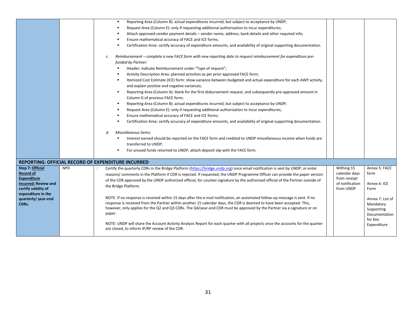|                                             |            | Reporting Area (Column B): actual expenditures incurred, but subject to acceptance by UNDP;<br>$\blacksquare$                                                                                                                                                                                                                                                                              |                             |                                                              |
|---------------------------------------------|------------|--------------------------------------------------------------------------------------------------------------------------------------------------------------------------------------------------------------------------------------------------------------------------------------------------------------------------------------------------------------------------------------------|-----------------------------|--------------------------------------------------------------|
|                                             |            | Request Area (Column E): only if requesting additional authorization to incur expenditures;                                                                                                                                                                                                                                                                                                |                             |                                                              |
|                                             |            | Attach approved vendor payment details – vendor name, address, bank details and other required info;                                                                                                                                                                                                                                                                                       |                             |                                                              |
|                                             |            | Ensure mathematical accuracy of FACE and ICE forms;                                                                                                                                                                                                                                                                                                                                        |                             |                                                              |
|                                             |            | Certification Area: certify accuracy of expenditure amounts, and availability of original supporting documentation.                                                                                                                                                                                                                                                                        |                             |                                                              |
|                                             |            | Reimbursement – complete a new FACE form with new reporting date to request reimbursement for expenditure pre-<br>с.<br>funded by Partner:<br>Header: indicate Reimbursement under "Type of request";                                                                                                                                                                                      |                             |                                                              |
|                                             |            | Activity Description Area: planned activities as per prior approved FACE form;                                                                                                                                                                                                                                                                                                             |                             |                                                              |
|                                             |            | Itemized Cost Estimate (ICE) form: show variance between budgeted and actual expenditure for each AWP activity,                                                                                                                                                                                                                                                                            |                             |                                                              |
|                                             |            | and explain positive and negative variances;                                                                                                                                                                                                                                                                                                                                               |                             |                                                              |
|                                             |            | Reporting Area (Column A): blank for the first disbursement request, and subsequently pre-approved amount in<br>٠<br>Column G of previous FACE form;                                                                                                                                                                                                                                       |                             |                                                              |
|                                             |            | Reporting Area (Column B): actual expenditures incurred, but subject to acceptance by UNDP;<br>٠                                                                                                                                                                                                                                                                                           |                             |                                                              |
|                                             |            | Request Area (Column E): only if requesting additional authorization to incur expenditures;                                                                                                                                                                                                                                                                                                |                             |                                                              |
|                                             |            | Ensure mathematical accuracy of FACE and ICE forms;                                                                                                                                                                                                                                                                                                                                        |                             |                                                              |
|                                             |            | Certification Area: certify accuracy of expenditure amounts, and availability of original supporting documentation.                                                                                                                                                                                                                                                                        |                             |                                                              |
|                                             |            |                                                                                                                                                                                                                                                                                                                                                                                            |                             |                                                              |
|                                             |            | Miscellaneous Items:<br>d.                                                                                                                                                                                                                                                                                                                                                                 |                             |                                                              |
|                                             |            | Interest earned should be reported on the FACE form and credited to UNDP miscellaneous income when funds are                                                                                                                                                                                                                                                                               |                             |                                                              |
|                                             |            | transferred to UNDP;                                                                                                                                                                                                                                                                                                                                                                       |                             |                                                              |
|                                             |            | For unused funds returned to UNDP, attach deposit slip with the FACE form.                                                                                                                                                                                                                                                                                                                 |                             |                                                              |
|                                             |            |                                                                                                                                                                                                                                                                                                                                                                                            |                             |                                                              |
|                                             |            | <b>REPORTING: OFFICIAL RECORD OF EXPENDITURE INCURRED</b>                                                                                                                                                                                                                                                                                                                                  |                             |                                                              |
| <b>Step 7: Official</b><br><b>Record of</b> | <b>NPD</b> | Certify the quarterly CDRs in the Bridge Platform (https://bridge.undp.org) once email notification is sent by UNDP; or enter<br>0<br>reasons/ comments in the Platform if CDR is rejected. If requested, the UNDP Programme Officer can provide the paper version                                                                                                                         | Withing 15<br>calendar days | Annex 5: FACE<br>form                                        |
| <b>Expenditure</b>                          |            | of the CDR approved by the UNDP authorized official, for counter-signature by the authorized official of the Partner outside of                                                                                                                                                                                                                                                            | from receipt                |                                                              |
| <b>Incurred: Review and</b>                 |            | the Bridge Platform.                                                                                                                                                                                                                                                                                                                                                                       | of notification             | Annex 6: ICE                                                 |
| certify validity of<br>expenditure in the   |            |                                                                                                                                                                                                                                                                                                                                                                                            | from UNDP                   | Form                                                         |
| quarterly/year-end<br>CDRs.                 |            | NOTE: If no response is received within 15 days after the e-mail notification, an automated follow-up message is sent. If no<br>response is received from the Partner within another 15 calendar days, the CDR is deemed to have been accepted. This,<br>however, only applies for the Q2 and Q3 CDRs. The Q4/year-end CDR must be approved by the Partner via e-signature or on<br>paper. |                             | Annex 7: List of<br>Mandatory<br>Supporting<br>Documentation |
|                                             |            | NOTE: UNDP will share the Account Activity Analysis Report for each quarter with all projects once the accounts for the quarter<br>are closed, to inform IP/RP review of the CDR.                                                                                                                                                                                                          |                             | for Key<br>Expenditure                                       |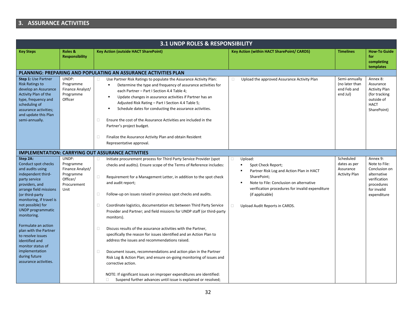## **3. ASSURANCE ACTIVITIES**

| <b>Key Action (outside HACT SharePoint)</b>                                                                                                                                                                                                                                                                                                                                                                                                                                                                                                                                                                                                                                                                                                                                                                                                                                                                                                                   | Key Action (within HACT SharePoint/ CARDS)                                                                                                                                                                                                                      | <b>Timelines</b>                                               | <b>How To Guide</b>                                                                                                   |
|---------------------------------------------------------------------------------------------------------------------------------------------------------------------------------------------------------------------------------------------------------------------------------------------------------------------------------------------------------------------------------------------------------------------------------------------------------------------------------------------------------------------------------------------------------------------------------------------------------------------------------------------------------------------------------------------------------------------------------------------------------------------------------------------------------------------------------------------------------------------------------------------------------------------------------------------------------------|-----------------------------------------------------------------------------------------------------------------------------------------------------------------------------------------------------------------------------------------------------------------|----------------------------------------------------------------|-----------------------------------------------------------------------------------------------------------------------|
|                                                                                                                                                                                                                                                                                                                                                                                                                                                                                                                                                                                                                                                                                                                                                                                                                                                                                                                                                               |                                                                                                                                                                                                                                                                 |                                                                | for<br>completing<br>templates                                                                                        |
| <b>PLANNING: PREPARING AND POPULATING AN ASSURANCE ACTIVITIES PLAN</b>                                                                                                                                                                                                                                                                                                                                                                                                                                                                                                                                                                                                                                                                                                                                                                                                                                                                                        |                                                                                                                                                                                                                                                                 |                                                                |                                                                                                                       |
| Use Partner Risk Ratings to populate the Assurance Activity Plan:<br>0<br>Determine the type and frequency of assurance activities for<br>٠<br>each Partner - Part I Section 4.4 Table 4;<br>Update changes in assurance activities if Partner has an<br>٠<br>Adjusted Risk Rating - Part I Section 4.4 Table 5;<br>Schedule dates for conducting the assurance activities.<br>٠<br>Ensure the cost of the Assurance Activities are included in the<br>$\Box$<br>Partner's project budget.<br>0<br>Finalize the Assurance Activity Plan and obtain Resident<br>Representative approval.                                                                                                                                                                                                                                                                                                                                                                       | Upload the approved Assurance Activity Plan<br>O                                                                                                                                                                                                                | Semi-annually<br>(no later than<br>end Feb and<br>end Jul)     | Annex 8:<br>Assurance<br><b>Activity Plan</b><br>(for tracking<br>outside of<br><b>HACT</b><br>SharePoint)            |
| <b>IMPLEMENTATION: CARRYING OUT ASSURANCE ACTIVITIES</b>                                                                                                                                                                                                                                                                                                                                                                                                                                                                                                                                                                                                                                                                                                                                                                                                                                                                                                      |                                                                                                                                                                                                                                                                 |                                                                |                                                                                                                       |
| Initiate procurement process for Third Party Service Provider (spot<br>$\Box$<br>checks and audits). Ensure scope of the Terms of Reference includes:<br>Requirement for a Management Letter, in addition to the spot check<br>$\Box$<br>and audit report;<br>$\Box$<br>Follow-up on issues raised in previous spot checks and audits.<br>Coordinate logistics, documentation etc between Third Party Service<br>$\Box$<br>Provider and Partner; and field missions for UNDP staff (or third-party<br>monitors).<br>Discuss results of the assurance activities with the Partner,<br>0<br>specifically the reason for issues identified and an Action Plan to<br>address the issues and recommendations raised.<br>Document issues, recommendations and action plan in the Partner<br>0<br>Risk Log & Action Plan; and ensure on-going monitoring of issues and<br>corrective action.<br>NOTE: If significant issues on improper expenditures are identified: | Upload:<br>0<br>Spot Check Report;<br>Partner Risk Log and Action Plan in HACT<br>SharePoint;<br>Note to File: Conclusion on alternative<br>٠<br>verification procedures for invalid expenditure<br>(if applicable)<br>$\Box$<br>Upload Audit Reports in CARDS. | Scheduled<br>dates as per<br>Assurance<br><b>Activity Plan</b> | Annex 9:<br>Note to File:<br>Conclusion on<br>alternative<br>verification<br>procedures<br>for invalid<br>expenditure |
|                                                                                                                                                                                                                                                                                                                                                                                                                                                                                                                                                                                                                                                                                                                                                                                                                                                                                                                                                               | Suspend further advances until issue is explained or resolved;<br>$\Box$                                                                                                                                                                                        |                                                                |                                                                                                                       |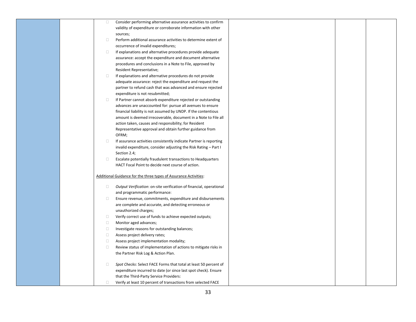| $\Box$ | Consider performing alternative assurance activities to confirm     |  |  |
|--------|---------------------------------------------------------------------|--|--|
|        | validity of expenditure or corroborate information with other       |  |  |
|        | sources;                                                            |  |  |
| $\Box$ | Perform additional assurance activities to determine extent of      |  |  |
|        | occurrence of invalid expenditures;                                 |  |  |
| $\Box$ | If explanations and alternative procedures provide adequate         |  |  |
|        | assurance: accept the expenditure and document alternative          |  |  |
|        | procedures and conclusions in a Note to File, approved by           |  |  |
|        | Resident Representative;                                            |  |  |
| $\Box$ | If explanations and alternative procedures do not provide           |  |  |
|        | adequate assurance: reject the expenditure and request the          |  |  |
|        | partner to refund cash that was advanced and ensure rejected        |  |  |
|        | expenditure is not resubmitted;                                     |  |  |
| $\Box$ | If Partner cannot absorb expenditure rejected or outstanding        |  |  |
|        | advances are unaccounted for: pursue all avenues to ensure          |  |  |
|        | financial liability is not assumed by UNDP. If the contentious      |  |  |
|        | amount is deemed irrecoverable, document in a Note to File all      |  |  |
|        | action taken, causes and responsibility; for Resident               |  |  |
|        | Representative approval and obtain further guidance from            |  |  |
|        | OFRM;                                                               |  |  |
| $\Box$ | If assurance activities consistently indicate Partner is reporting  |  |  |
|        | invalid expenditure, consider adjusting the Risk Rating - Part I    |  |  |
|        | Section 2.4;                                                        |  |  |
| $\Box$ | Escalate potentially fraudulent transactions to Headquarters        |  |  |
|        | HACT Focal Point to decide next course of action.                   |  |  |
|        | Additional Guidance for the three types of Assurance Activities:    |  |  |
|        |                                                                     |  |  |
| $\Box$ | Output Verification: on-site verification of financial, operational |  |  |
|        | and programmatic performance:                                       |  |  |
| $\Box$ | Ensure revenue, commitments, expenditure and disbursements          |  |  |
|        | are complete and accurate, and detecting erroneous or               |  |  |
|        | unauthorized charges;                                               |  |  |
| $\Box$ | Verify correct use of funds to achieve expected outputs;            |  |  |
| $\Box$ | Monitor aged advances;                                              |  |  |
| $\Box$ | Investigate reasons for outstanding balances;                       |  |  |
| $\Box$ | Assess project delivery rates;                                      |  |  |
| $\Box$ | Assess project implementation modality;                             |  |  |
| $\Box$ | Review status of implementation of actions to mitigate risks in     |  |  |
|        | the Partner Risk Log & Action Plan.                                 |  |  |
| $\Box$ | Spot Checks: Select FACE Forms that total at least 50 percent of    |  |  |
|        | expenditure incurred to date (or since last spot check). Ensure     |  |  |
|        | that the Third-Party Service Providers:                             |  |  |
| $\Box$ |                                                                     |  |  |
|        | Verify at least 10 percent of transactions from selected FACE       |  |  |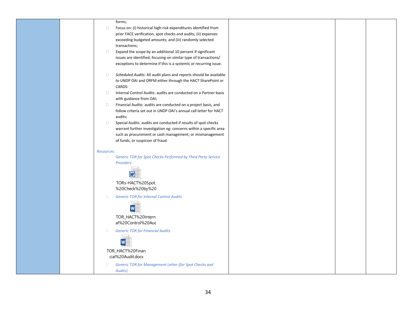|                   | forms;                                                              |
|-------------------|---------------------------------------------------------------------|
| $\Box$            | Focus on: (i) historical high-risk expenditures identified from     |
|                   | prior FACE verification, spot checks and audits; (ii) expenses      |
|                   | exceeding budgeted amounts; and (iii) randomly selected             |
|                   | transactions;                                                       |
| $\Box$            | Expand the scope by an additional 10 percent if significant         |
|                   | issues are identified, focusing on similar type of transactions/    |
|                   | exceptions to determine if this is a systemic or recurring issue.   |
| $\Box$            | Scheduled Audits: All audit plans and reports should be available   |
|                   | to UNDP OAI and ORFM either through the HACT SharePoint or          |
|                   | CARDS:                                                              |
| $\Box$            | Internal Control Audits: audits are conducted on a Partner basis    |
|                   | with guidance from OAI;                                             |
| $\Box$            | Financial Audits: audits are conducted on a project basis, and      |
|                   | follow criteria set out in UNDP OAI's annual call letter for HACT   |
|                   | audits;                                                             |
| $\Box$            | Special Audits: audits are conducted if results of spot checks      |
|                   | warrant further investigation eg: concerns within a specific area   |
|                   | such as procurement or cash management; or mismanagement            |
|                   | of funds, or suspicion of fraud.                                    |
| <b>Resources:</b> |                                                                     |
| $\Box$            | <b>Generic TOR for Spot Checks Performed by Third Party Service</b> |
|                   | Providers                                                           |
|                   |                                                                     |
|                   |                                                                     |
|                   | TORs-HACT%20Spot                                                    |
|                   | %20Check%20by%20                                                    |
| $\Box$            | <b>Generic TOR for Internal Control Audits</b>                      |
|                   |                                                                     |
|                   | W                                                                   |
|                   | TOR_HACT%20Intern                                                   |
|                   | al%20Control%20Auc                                                  |
|                   |                                                                     |
| $\Box$            | <b>Generic TOR for Financial Audits</b>                             |
|                   |                                                                     |
|                   |                                                                     |
|                   |                                                                     |
|                   | TOR_HACT%20Finan                                                    |
|                   | cial%20Audit.docx                                                   |
| $\Box$            | Generic TOR for Management Letter (for Spot Checks and              |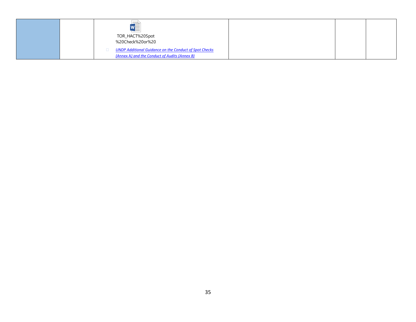|  | TOR_HACT%20Spot<br>%20Check%20or%20                                                                            |  |  |
|--|----------------------------------------------------------------------------------------------------------------|--|--|
|  | <b>UNDP Additional Guidance on the Conduct of Spot Checks</b><br>(Annex A) and the Conduct of Audits (Annex B) |  |  |